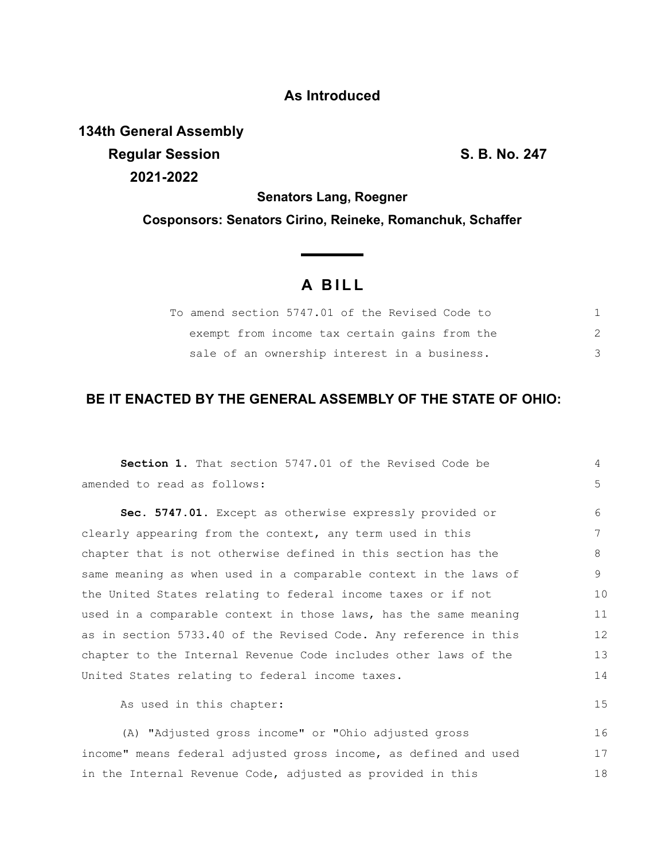### **As Introduced**

**134th General Assembly Regular Session S. B. No. 247 2021-2022**

**Senators Lang, Roegner**

**Cosponsors: Senators Cirino, Reineke, Romanchuk, Schaffer**

# **A B I L L**

<u> The Common State State Sta</u>te

| To amend section 5747.01 of the Revised Code to |  |
|-------------------------------------------------|--|
| exempt from income tax certain gains from the   |  |
| sale of an ownership interest in a business.    |  |

## **BE IT ENACTED BY THE GENERAL ASSEMBLY OF THE STATE OF OHIO:**

| <b>Section 1.</b> That section 5747.01 of the Revised Code be    | 4  |
|------------------------------------------------------------------|----|
| amended to read as follows:                                      | 5  |
| Sec. 5747.01. Except as otherwise expressly provided or          | 6  |
| clearly appearing from the context, any term used in this        | 7  |
| chapter that is not otherwise defined in this section has the    | 8  |
| same meaning as when used in a comparable context in the laws of | 9  |
| the United States relating to federal income taxes or if not     | 10 |
| used in a comparable context in those laws, has the same meaning | 11 |
| as in section 5733.40 of the Revised Code. Any reference in this | 12 |
| chapter to the Internal Revenue Code includes other laws of the  | 13 |
| United States relating to federal income taxes.                  | 14 |
| As used in this chapter:                                         | 15 |
| (A) "Adjusted gross income" or "Ohio adjusted gross              | 16 |
| income" means federal adjusted gross income, as defined and used | 17 |
| in the Internal Revenue Code, adjusted as provided in this       | 18 |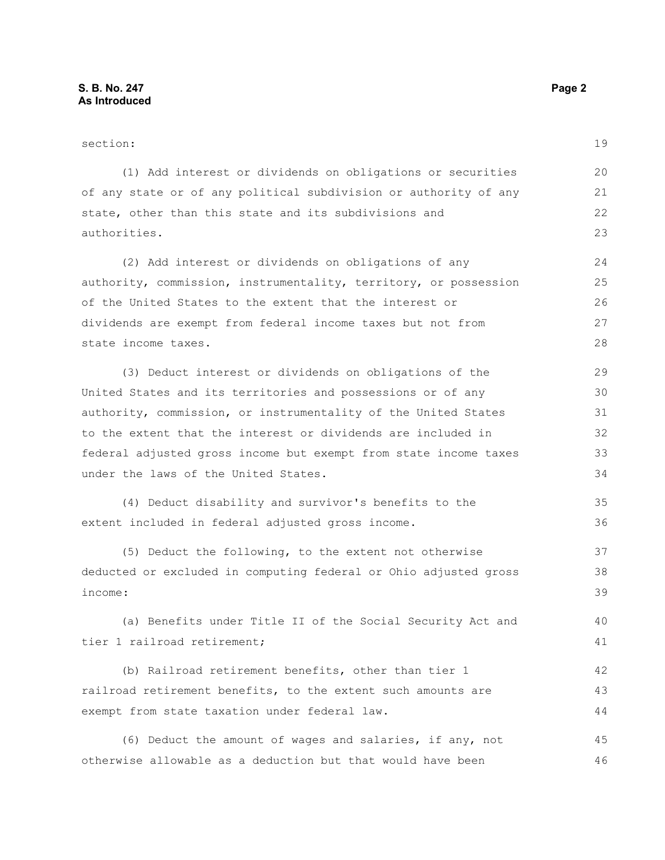| section:                                                         |    |
|------------------------------------------------------------------|----|
| (1) Add interest or dividends on obligations or securities       | 20 |
| of any state or of any political subdivision or authority of any | 21 |
| state, other than this state and its subdivisions and            | 22 |
| authorities.                                                     | 23 |
| (2) Add interest or dividends on obligations of any              | 24 |
| authority, commission, instrumentality, territory, or possession | 25 |
| of the United States to the extent that the interest or          | 26 |
| dividends are exempt from federal income taxes but not from      | 27 |
| state income taxes.                                              | 28 |
| (3) Deduct interest or dividends on obligations of the           | 29 |
| United States and its territories and possessions or of any      | 30 |
| authority, commission, or instrumentality of the United States   | 31 |
| to the extent that the interest or dividends are included in     | 32 |
| federal adjusted gross income but exempt from state income taxes | 33 |
| under the laws of the United States.                             | 34 |
| (4) Deduct disability and survivor's benefits to the             | 35 |
| extent included in federal adjusted gross income.                | 36 |
| (5) Deduct the following, to the extent not otherwise            | 37 |
| deducted or excluded in computing federal or Ohio adjusted gross | 38 |
| income:                                                          | 39 |
| (a) Benefits under Title II of the Social Security Act and       | 40 |
| tier 1 railroad retirement;                                      | 41 |
| (b) Railroad retirement benefits, other than tier 1              | 42 |
| railroad retirement benefits, to the extent such amounts are     | 43 |

(6) Deduct the amount of wages and salaries, if any, not otherwise allowable as a deduction but that would have been 45 46

exempt from state taxation under federal law.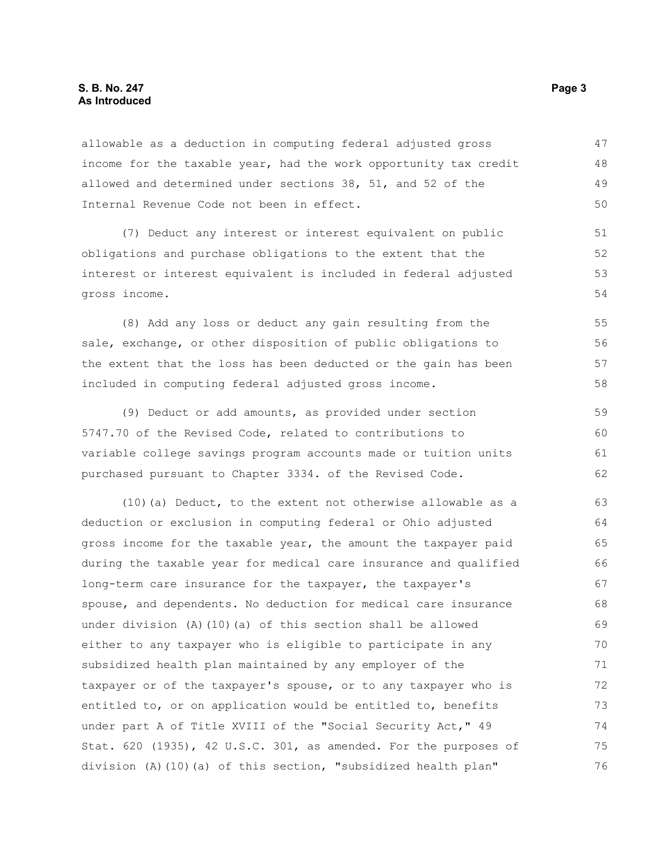#### **S. B. No. 247** Page 3 **As Introduced**

allowable as a deduction in computing federal adjusted gross income for the taxable year, had the work opportunity tax credit allowed and determined under sections 38, 51, and 52 of the Internal Revenue Code not been in effect. 47 48 49 50

(7) Deduct any interest or interest equivalent on public obligations and purchase obligations to the extent that the interest or interest equivalent is included in federal adjusted gross income.

(8) Add any loss or deduct any gain resulting from the sale, exchange, or other disposition of public obligations to the extent that the loss has been deducted or the gain has been included in computing federal adjusted gross income.

(9) Deduct or add amounts, as provided under section 5747.70 of the Revised Code, related to contributions to variable college savings program accounts made or tuition units purchased pursuant to Chapter 3334. of the Revised Code. 59 60 61 62

(10)(a) Deduct, to the extent not otherwise allowable as a deduction or exclusion in computing federal or Ohio adjusted gross income for the taxable year, the amount the taxpayer paid during the taxable year for medical care insurance and qualified long-term care insurance for the taxpayer, the taxpayer's spouse, and dependents. No deduction for medical care insurance under division (A)(10)(a) of this section shall be allowed either to any taxpayer who is eligible to participate in any subsidized health plan maintained by any employer of the taxpayer or of the taxpayer's spouse, or to any taxpayer who is entitled to, or on application would be entitled to, benefits under part A of Title XVIII of the "Social Security Act," 49 Stat. 620 (1935), 42 U.S.C. 301, as amended. For the purposes of division (A)(10)(a) of this section, "subsidized health plan" 63 64 65 66 67 68 69 70 71 72 73 74 75 76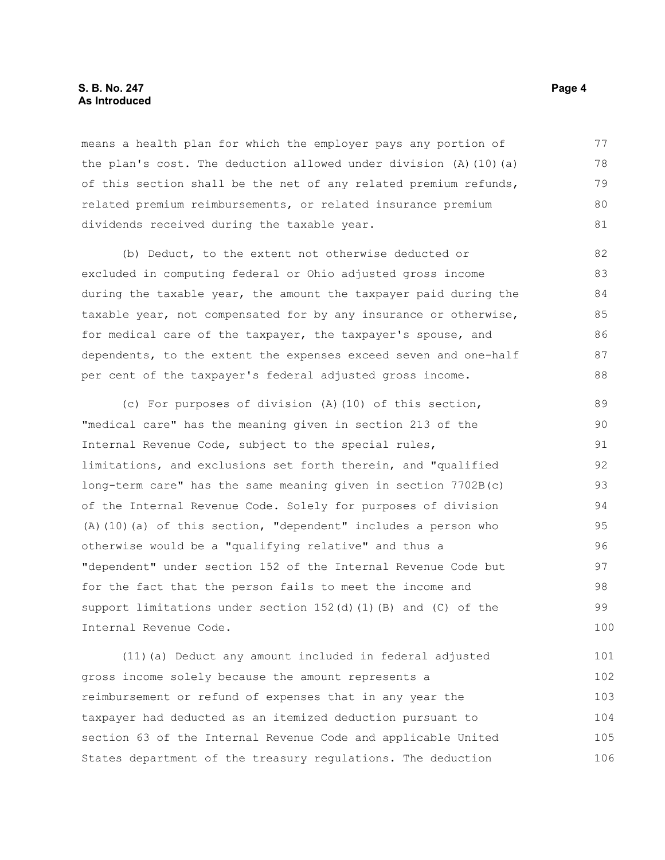#### **S. B. No. 247** Page 4 **As Introduced**

means a health plan for which the employer pays any portion of the plan's cost. The deduction allowed under division  $(A)$  (10)(a) of this section shall be the net of any related premium refunds, related premium reimbursements, or related insurance premium dividends received during the taxable year. 77 78 79 80 81

(b) Deduct, to the extent not otherwise deducted or excluded in computing federal or Ohio adjusted gross income during the taxable year, the amount the taxpayer paid during the taxable year, not compensated for by any insurance or otherwise, for medical care of the taxpayer, the taxpayer's spouse, and dependents, to the extent the expenses exceed seven and one-half per cent of the taxpayer's federal adjusted gross income. 82 83 84 85 86 87 88

(c) For purposes of division (A)(10) of this section, "medical care" has the meaning given in section 213 of the Internal Revenue Code, subject to the special rules, limitations, and exclusions set forth therein, and "qualified long-term care" has the same meaning given in section 7702B(c) of the Internal Revenue Code. Solely for purposes of division (A)(10)(a) of this section, "dependent" includes a person who otherwise would be a "qualifying relative" and thus a "dependent" under section 152 of the Internal Revenue Code but for the fact that the person fails to meet the income and support limitations under section  $152(d)$  (1)(B) and (C) of the Internal Revenue Code. 89 90 91 92 93 94 95 96 97 98 99 100

(11)(a) Deduct any amount included in federal adjusted gross income solely because the amount represents a reimbursement or refund of expenses that in any year the taxpayer had deducted as an itemized deduction pursuant to section 63 of the Internal Revenue Code and applicable United States department of the treasury regulations. The deduction 101 102 103 104 105 106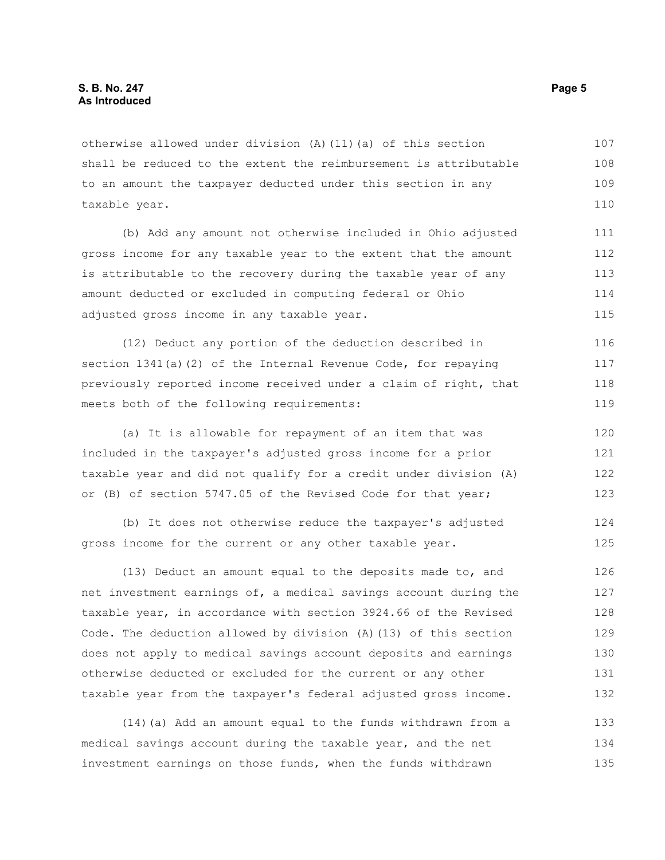otherwise allowed under division (A)(11)(a) of this section shall be reduced to the extent the reimbursement is attributable to an amount the taxpayer deducted under this section in any taxable year. 107 108 109 110

(b) Add any amount not otherwise included in Ohio adjusted gross income for any taxable year to the extent that the amount is attributable to the recovery during the taxable year of any amount deducted or excluded in computing federal or Ohio adjusted gross income in any taxable year. 111 112 113 114 115

(12) Deduct any portion of the deduction described in section 1341(a)(2) of the Internal Revenue Code, for repaying previously reported income received under a claim of right, that meets both of the following requirements: 116 117 118 119

(a) It is allowable for repayment of an item that was included in the taxpayer's adjusted gross income for a prior taxable year and did not qualify for a credit under division (A) or (B) of section 5747.05 of the Revised Code for that year; 120 121 122 123

(b) It does not otherwise reduce the taxpayer's adjusted gross income for the current or any other taxable year.

(13) Deduct an amount equal to the deposits made to, and net investment earnings of, a medical savings account during the taxable year, in accordance with section 3924.66 of the Revised Code. The deduction allowed by division (A)(13) of this section does not apply to medical savings account deposits and earnings otherwise deducted or excluded for the current or any other taxable year from the taxpayer's federal adjusted gross income. 126 127 128 129 130 131 132

(14)(a) Add an amount equal to the funds withdrawn from a medical savings account during the taxable year, and the net investment earnings on those funds, when the funds withdrawn 133 134 135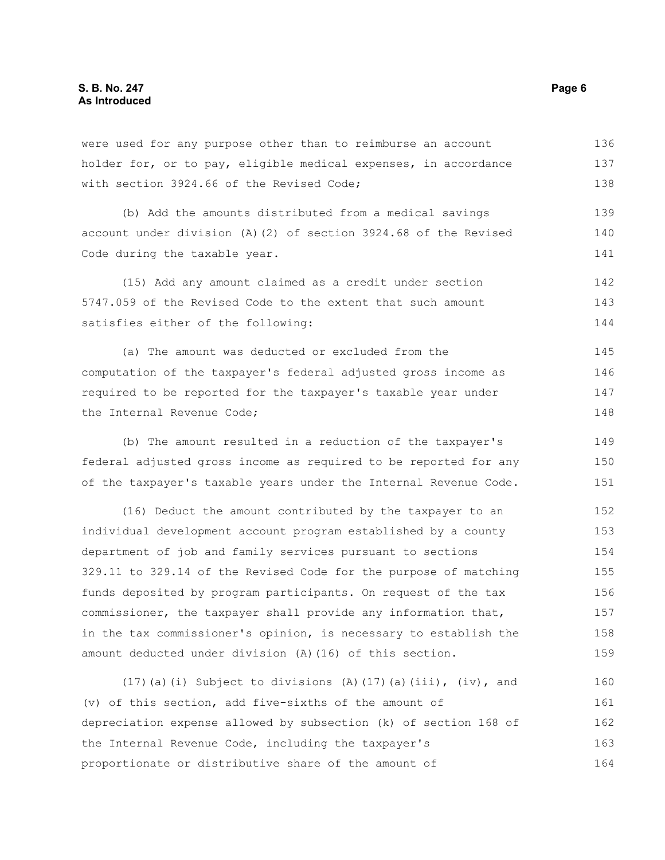were used for any purpose other than to reimburse an account holder for, or to pay, eligible medical expenses, in accordance with section 3924.66 of the Revised Code; 136 137 138

(b) Add the amounts distributed from a medical savings account under division (A)(2) of section 3924.68 of the Revised Code during the taxable year. 139 140 141

(15) Add any amount claimed as a credit under section 5747.059 of the Revised Code to the extent that such amount satisfies either of the following: 142 143 144

(a) The amount was deducted or excluded from the computation of the taxpayer's federal adjusted gross income as required to be reported for the taxpayer's taxable year under the Internal Revenue Code; 145 146 147 148

(b) The amount resulted in a reduction of the taxpayer's federal adjusted gross income as required to be reported for any of the taxpayer's taxable years under the Internal Revenue Code. 149 150 151

(16) Deduct the amount contributed by the taxpayer to an individual development account program established by a county department of job and family services pursuant to sections 329.11 to 329.14 of the Revised Code for the purpose of matching funds deposited by program participants. On request of the tax commissioner, the taxpayer shall provide any information that, in the tax commissioner's opinion, is necessary to establish the amount deducted under division (A)(16) of this section. 152 153 154 155 156 157 158 159

(17)(a)(i) Subject to divisions (A)(17)(a)(iii),  $(iv)$ , and (v) of this section, add five-sixths of the amount of depreciation expense allowed by subsection (k) of section 168 of the Internal Revenue Code, including the taxpayer's proportionate or distributive share of the amount of 160 161 162 163 164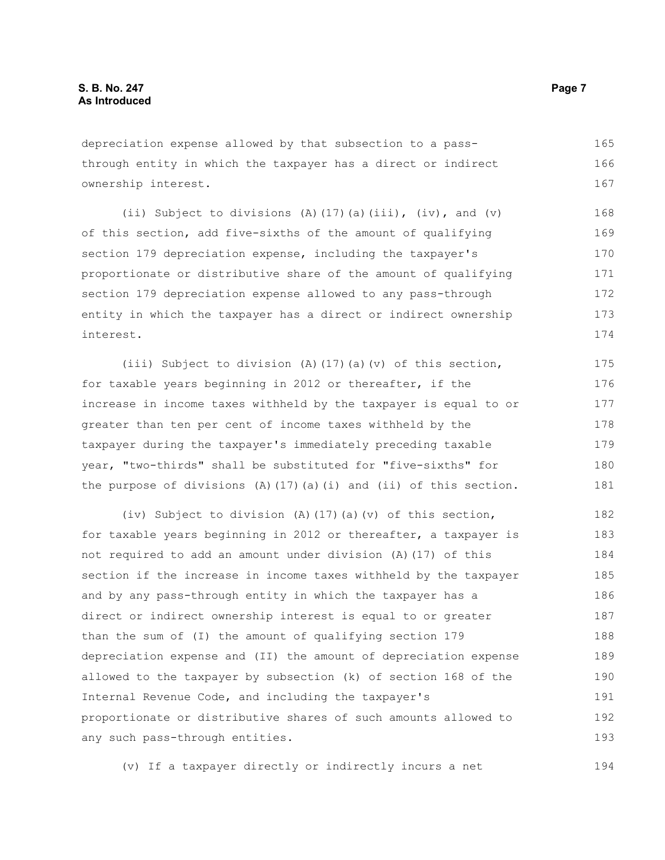depreciation expense allowed by that subsection to a passthrough entity in which the taxpayer has a direct or indirect ownership interest.

(ii) Subject to divisions (A)(17)(a)(iii), (iv), and (v) of this section, add five-sixths of the amount of qualifying section 179 depreciation expense, including the taxpayer's proportionate or distributive share of the amount of qualifying section 179 depreciation expense allowed to any pass-through entity in which the taxpayer has a direct or indirect ownership interest. 168 169 170 171 172 173 174

(iii) Subject to division (A)(17)(a)(v) of this section, for taxable years beginning in 2012 or thereafter, if the increase in income taxes withheld by the taxpayer is equal to or greater than ten per cent of income taxes withheld by the taxpayer during the taxpayer's immediately preceding taxable year, "two-thirds" shall be substituted for "five-sixths" for the purpose of divisions  $(A)$  (17)(a)(i) and (ii) of this section. 175 176 177 178 179 180 181

(iv) Subject to division (A)(17)(a)(v) of this section, for taxable years beginning in 2012 or thereafter, a taxpayer is not required to add an amount under division (A)(17) of this section if the increase in income taxes withheld by the taxpayer and by any pass-through entity in which the taxpayer has a direct or indirect ownership interest is equal to or greater than the sum of (I) the amount of qualifying section 179 depreciation expense and (II) the amount of depreciation expense allowed to the taxpayer by subsection (k) of section 168 of the Internal Revenue Code, and including the taxpayer's proportionate or distributive shares of such amounts allowed to any such pass-through entities. 182 183 184 185 186 187 188 189 190 191 192 193

(v) If a taxpayer directly or indirectly incurs a net

165 166 167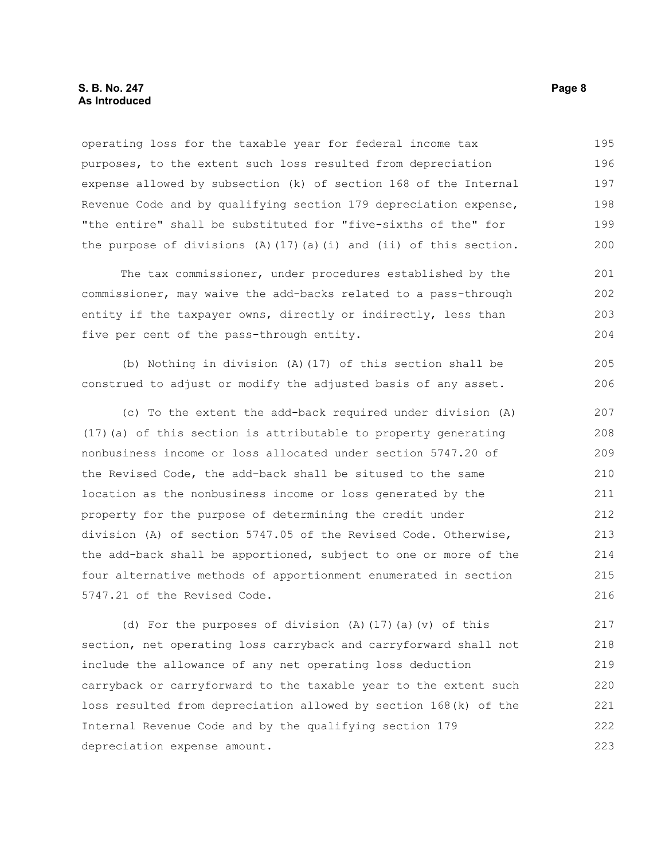#### **S. B. No. 247** Page 8 **As Introduced**

operating loss for the taxable year for federal income tax purposes, to the extent such loss resulted from depreciation expense allowed by subsection (k) of section 168 of the Internal Revenue Code and by qualifying section 179 depreciation expense, "the entire" shall be substituted for "five-sixths of the" for the purpose of divisions  $(A)$  (17)(a)(i) and (ii) of this section. 195 196 197 198 199 200

The tax commissioner, under procedures established by the commissioner, may waive the add-backs related to a pass-through entity if the taxpayer owns, directly or indirectly, less than five per cent of the pass-through entity. 201 202 203 204

(b) Nothing in division (A)(17) of this section shall be construed to adjust or modify the adjusted basis of any asset. 205 206

(c) To the extent the add-back required under division (A) (17)(a) of this section is attributable to property generating nonbusiness income or loss allocated under section 5747.20 of the Revised Code, the add-back shall be sitused to the same location as the nonbusiness income or loss generated by the property for the purpose of determining the credit under division (A) of section 5747.05 of the Revised Code. Otherwise, the add-back shall be apportioned, subject to one or more of the four alternative methods of apportionment enumerated in section 5747.21 of the Revised Code. 207 208 209 210 211 212 213 214 215 216

(d) For the purposes of division (A)(17)(a)(v) of this section, net operating loss carryback and carryforward shall not include the allowance of any net operating loss deduction carryback or carryforward to the taxable year to the extent such loss resulted from depreciation allowed by section 168(k) of the Internal Revenue Code and by the qualifying section 179 depreciation expense amount. 217 218 219 220 221 222 223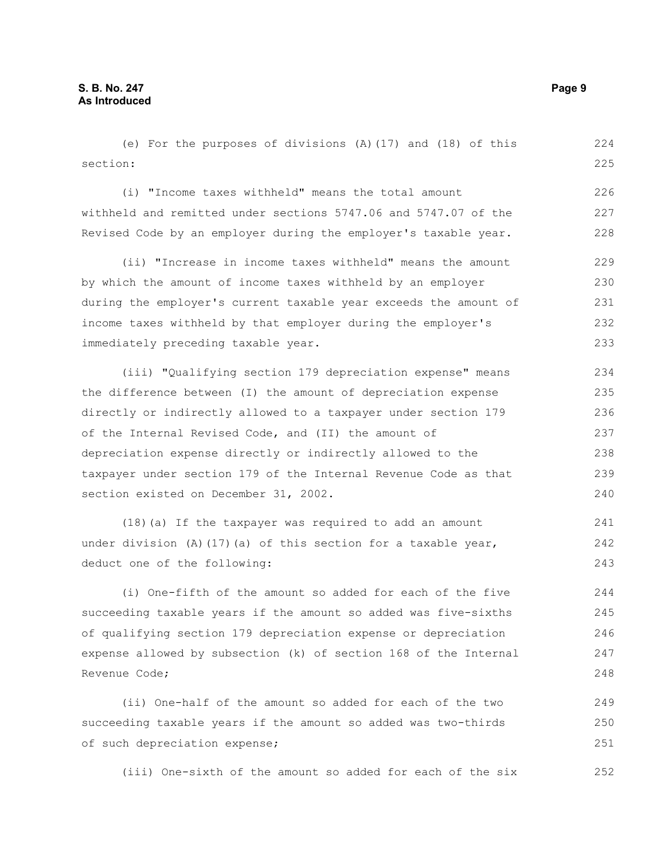(e) For the purposes of divisions (A)(17) and (18) of this section: 224 225

(i) "Income taxes withheld" means the total amount withheld and remitted under sections 5747.06 and 5747.07 of the Revised Code by an employer during the employer's taxable year. 226 227 228

(ii) "Increase in income taxes withheld" means the amount by which the amount of income taxes withheld by an employer during the employer's current taxable year exceeds the amount of income taxes withheld by that employer during the employer's immediately preceding taxable year. 229 230 231 232 233

(iii) "Qualifying section 179 depreciation expense" means the difference between (I) the amount of depreciation expense directly or indirectly allowed to a taxpayer under section 179 of the Internal Revised Code, and (II) the amount of depreciation expense directly or indirectly allowed to the taxpayer under section 179 of the Internal Revenue Code as that section existed on December 31, 2002.

(18)(a) If the taxpayer was required to add an amount under division (A)(17)(a) of this section for a taxable year, deduct one of the following: 241 242 243

(i) One-fifth of the amount so added for each of the five succeeding taxable years if the amount so added was five-sixths of qualifying section 179 depreciation expense or depreciation expense allowed by subsection (k) of section 168 of the Internal Revenue Code; 246

(ii) One-half of the amount so added for each of the two succeeding taxable years if the amount so added was two-thirds of such depreciation expense; 249 250 251

(iii) One-sixth of the amount so added for each of the six 252

244 245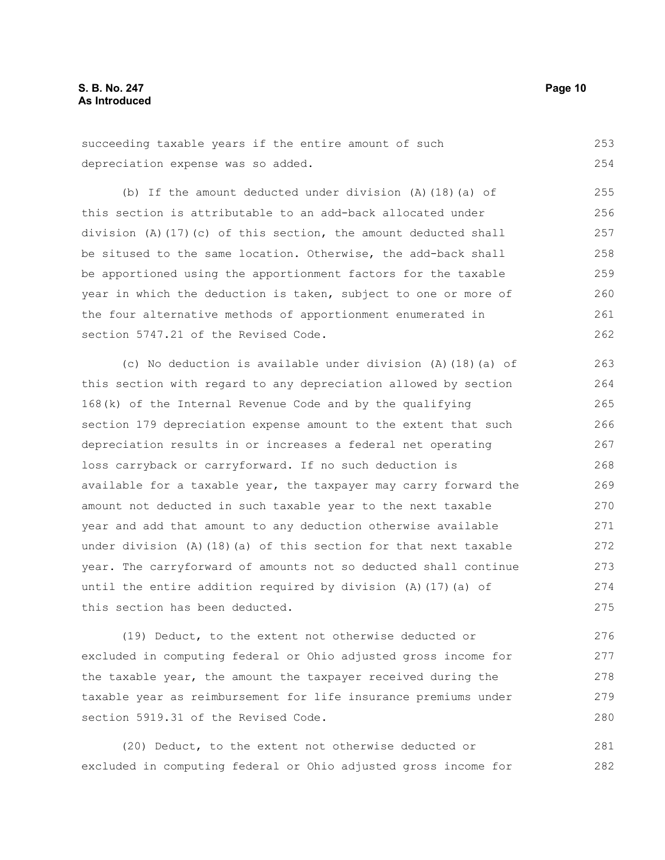succeeding taxable years if the entire amount of such depreciation expense was so added. 253 254

(b) If the amount deducted under division (A)(18)(a) of this section is attributable to an add-back allocated under division (A)(17)(c) of this section, the amount deducted shall be sitused to the same location. Otherwise, the add-back shall be apportioned using the apportionment factors for the taxable year in which the deduction is taken, subject to one or more of the four alternative methods of apportionment enumerated in section 5747.21 of the Revised Code. 255 256 257 258 259 260 261 262

(c) No deduction is available under division (A)(18)(a) of this section with regard to any depreciation allowed by section 168(k) of the Internal Revenue Code and by the qualifying section 179 depreciation expense amount to the extent that such depreciation results in or increases a federal net operating loss carryback or carryforward. If no such deduction is available for a taxable year, the taxpayer may carry forward the amount not deducted in such taxable year to the next taxable year and add that amount to any deduction otherwise available under division  $(A)$  (18)(a) of this section for that next taxable year. The carryforward of amounts not so deducted shall continue until the entire addition required by division  $(A)$  (17)(a) of this section has been deducted. 263 264 265 266 267 268 269 270 271 272 273 274 275

(19) Deduct, to the extent not otherwise deducted or excluded in computing federal or Ohio adjusted gross income for the taxable year, the amount the taxpayer received during the taxable year as reimbursement for life insurance premiums under section 5919.31 of the Revised Code. 276 277 278 279 280

(20) Deduct, to the extent not otherwise deducted or excluded in computing federal or Ohio adjusted gross income for 281 282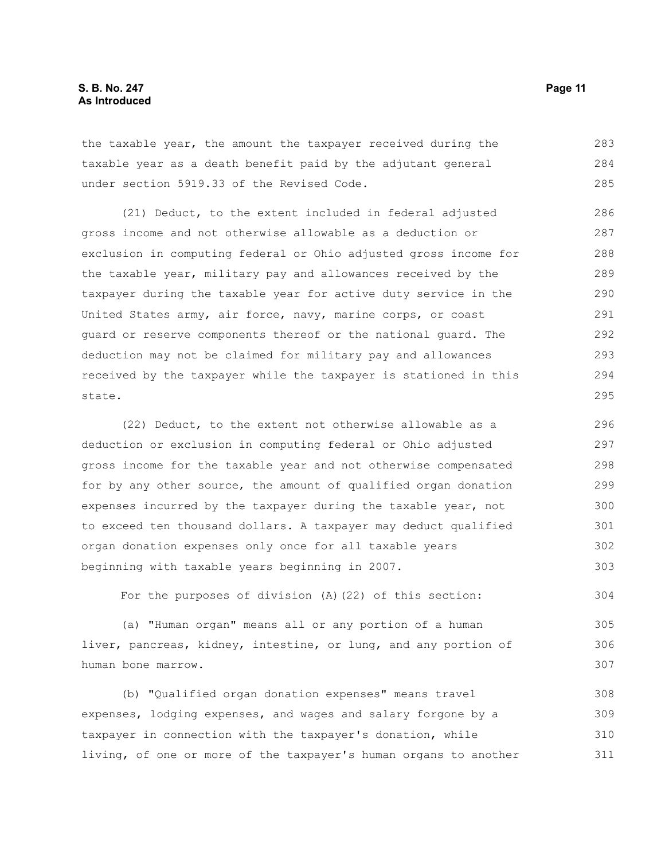the taxable year, the amount the taxpayer received during the taxable year as a death benefit paid by the adjutant general under section 5919.33 of the Revised Code. 283 284 285

(21) Deduct, to the extent included in federal adjusted gross income and not otherwise allowable as a deduction or exclusion in computing federal or Ohio adjusted gross income for the taxable year, military pay and allowances received by the taxpayer during the taxable year for active duty service in the United States army, air force, navy, marine corps, or coast guard or reserve components thereof or the national guard. The deduction may not be claimed for military pay and allowances received by the taxpayer while the taxpayer is stationed in this state. 286 287 288 289 290 291 292 293 294 295

(22) Deduct, to the extent not otherwise allowable as a deduction or exclusion in computing federal or Ohio adjusted gross income for the taxable year and not otherwise compensated for by any other source, the amount of qualified organ donation expenses incurred by the taxpayer during the taxable year, not to exceed ten thousand dollars. A taxpayer may deduct qualified organ donation expenses only once for all taxable years beginning with taxable years beginning in 2007. 296 297 298 299 300 301 302 303

For the purposes of division (A)(22) of this section: 304

(a) "Human organ" means all or any portion of a human liver, pancreas, kidney, intestine, or lung, and any portion of human bone marrow. 305 306 307

(b) "Qualified organ donation expenses" means travel expenses, lodging expenses, and wages and salary forgone by a taxpayer in connection with the taxpayer's donation, while living, of one or more of the taxpayer's human organs to another 308 309 310 311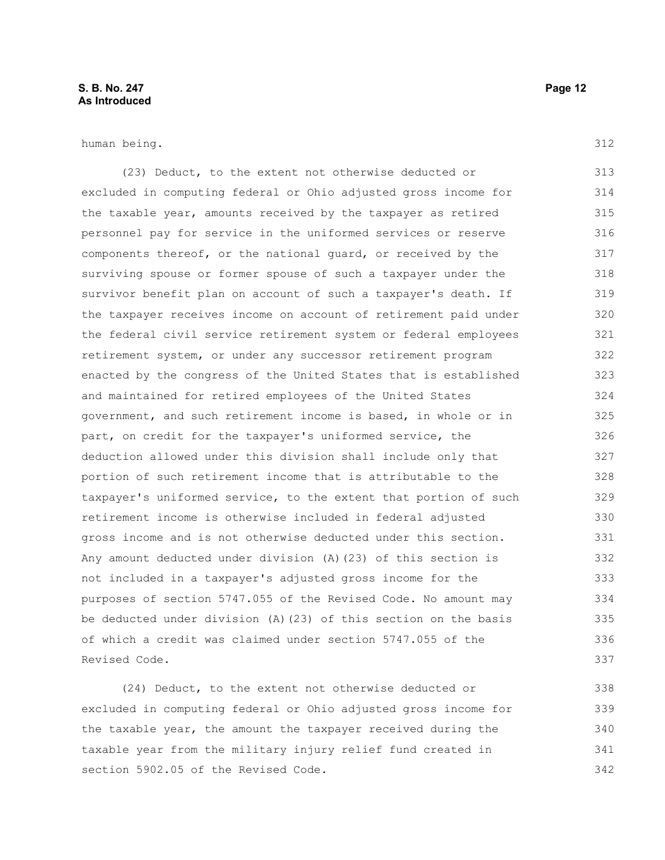#### **S. B. No. 247 Page 12 As Introduced**

human being.

(23) Deduct, to the extent not otherwise deducted or excluded in computing federal or Ohio adjusted gross income for the taxable year, amounts received by the taxpayer as retired personnel pay for service in the uniformed services or reserve components thereof, or the national guard, or received by the surviving spouse or former spouse of such a taxpayer under the survivor benefit plan on account of such a taxpayer's death. If the taxpayer receives income on account of retirement paid under the federal civil service retirement system or federal employees retirement system, or under any successor retirement program enacted by the congress of the United States that is established and maintained for retired employees of the United States government, and such retirement income is based, in whole or in part, on credit for the taxpayer's uniformed service, the deduction allowed under this division shall include only that portion of such retirement income that is attributable to the taxpayer's uniformed service, to the extent that portion of such retirement income is otherwise included in federal adjusted gross income and is not otherwise deducted under this section. Any amount deducted under division (A)(23) of this section is not included in a taxpayer's adjusted gross income for the purposes of section 5747.055 of the Revised Code. No amount may be deducted under division (A)(23) of this section on the basis of which a credit was claimed under section 5747.055 of the Revised Code. 313 314 315 316 317 318 319 320 321 322 323 324 325 326 327 328 329 330 331 332 333 334 335 336 337

(24) Deduct, to the extent not otherwise deducted or excluded in computing federal or Ohio adjusted gross income for the taxable year, the amount the taxpayer received during the taxable year from the military injury relief fund created in section 5902.05 of the Revised Code. 338 339 340 341 342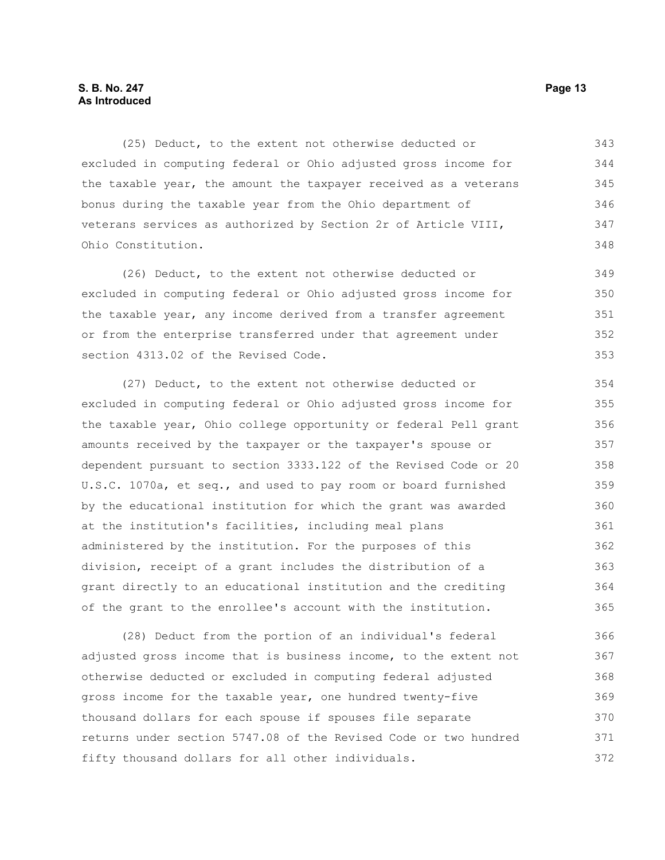#### **S. B. No. 247 Page 13 As Introduced**

(25) Deduct, to the extent not otherwise deducted or excluded in computing federal or Ohio adjusted gross income for the taxable year, the amount the taxpayer received as a veterans bonus during the taxable year from the Ohio department of veterans services as authorized by Section 2r of Article VIII, Ohio Constitution. 343 344 345 346 347 348

(26) Deduct, to the extent not otherwise deducted or excluded in computing federal or Ohio adjusted gross income for the taxable year, any income derived from a transfer agreement or from the enterprise transferred under that agreement under section 4313.02 of the Revised Code. 349 350 351 352 353

(27) Deduct, to the extent not otherwise deducted or excluded in computing federal or Ohio adjusted gross income for the taxable year, Ohio college opportunity or federal Pell grant amounts received by the taxpayer or the taxpayer's spouse or dependent pursuant to section 3333.122 of the Revised Code or 20 U.S.C. 1070a, et seq., and used to pay room or board furnished by the educational institution for which the grant was awarded at the institution's facilities, including meal plans administered by the institution. For the purposes of this division, receipt of a grant includes the distribution of a grant directly to an educational institution and the crediting of the grant to the enrollee's account with the institution. 354 355 356 357 358 359 360 361 362 363 364 365

(28) Deduct from the portion of an individual's federal adjusted gross income that is business income, to the extent not otherwise deducted or excluded in computing federal adjusted gross income for the taxable year, one hundred twenty-five thousand dollars for each spouse if spouses file separate returns under section 5747.08 of the Revised Code or two hundred fifty thousand dollars for all other individuals. 366 367 368 369 370 371 372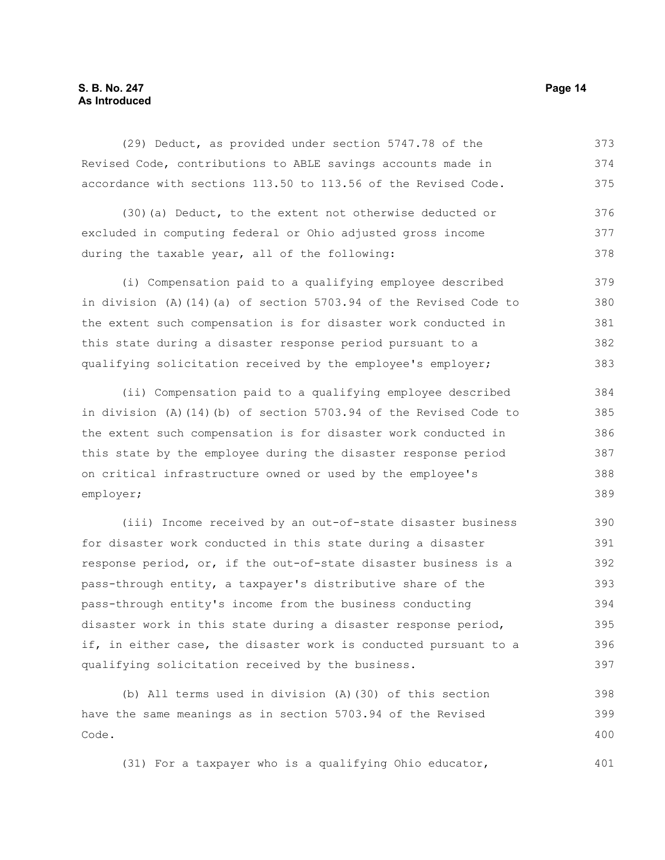#### **S. B. No. 247 Page 14 As Introduced**

(29) Deduct, as provided under section 5747.78 of the Revised Code, contributions to ABLE savings accounts made in accordance with sections 113.50 to 113.56 of the Revised Code. 373 374 375

(30)(a) Deduct, to the extent not otherwise deducted or excluded in computing federal or Ohio adjusted gross income during the taxable year, all of the following: 376 377 378

(i) Compensation paid to a qualifying employee described in division (A)(14)(a) of section 5703.94 of the Revised Code to the extent such compensation is for disaster work conducted in this state during a disaster response period pursuant to a qualifying solicitation received by the employee's employer; 379 380 381 382 383

(ii) Compensation paid to a qualifying employee described in division (A)(14)(b) of section 5703.94 of the Revised Code to the extent such compensation is for disaster work conducted in this state by the employee during the disaster response period on critical infrastructure owned or used by the employee's employer; 384 385 386 387 388 389

(iii) Income received by an out-of-state disaster business for disaster work conducted in this state during a disaster response period, or, if the out-of-state disaster business is a pass-through entity, a taxpayer's distributive share of the pass-through entity's income from the business conducting disaster work in this state during a disaster response period, if, in either case, the disaster work is conducted pursuant to a qualifying solicitation received by the business. 390 391 392 393 394 395 396 397

(b) All terms used in division (A)(30) of this section have the same meanings as in section 5703.94 of the Revised Code. 398 399 400

(31) For a taxpayer who is a qualifying Ohio educator,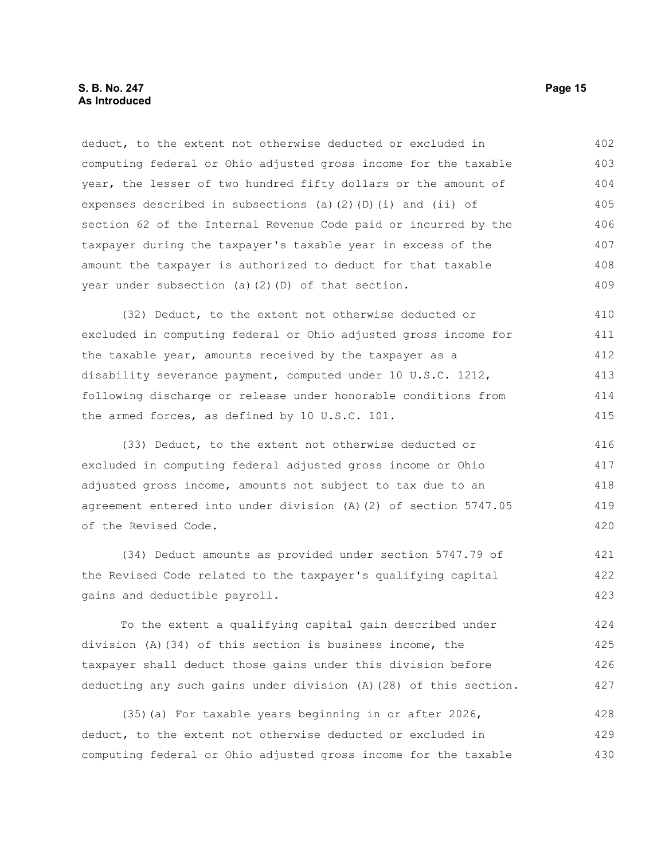deduct, to the extent not otherwise deducted or excluded in computing federal or Ohio adjusted gross income for the taxable year, the lesser of two hundred fifty dollars or the amount of expenses described in subsections (a)(2)(D)(i) and (ii) of section 62 of the Internal Revenue Code paid or incurred by the taxpayer during the taxpayer's taxable year in excess of the amount the taxpayer is authorized to deduct for that taxable year under subsection (a)(2)(D) of that section. 402 403 404 405 406 407 408 409

(32) Deduct, to the extent not otherwise deducted or excluded in computing federal or Ohio adjusted gross income for the taxable year, amounts received by the taxpayer as a disability severance payment, computed under 10 U.S.C. 1212, following discharge or release under honorable conditions from the armed forces, as defined by 10 U.S.C. 101. 410 411 412 413 414 415

(33) Deduct, to the extent not otherwise deducted or excluded in computing federal adjusted gross income or Ohio adjusted gross income, amounts not subject to tax due to an agreement entered into under division (A)(2) of section 5747.05 of the Revised Code. 416 417 418 419 420

(34) Deduct amounts as provided under section 5747.79 of the Revised Code related to the taxpayer's qualifying capital gains and deductible payroll. 421 422 423

To the extent a qualifying capital gain described under division (A)(34) of this section is business income, the taxpayer shall deduct those gains under this division before deducting any such gains under division (A)(28) of this section. 424 425 426 427

(35)(a) For taxable years beginning in or after 2026, deduct, to the extent not otherwise deducted or excluded in computing federal or Ohio adjusted gross income for the taxable 428 429 430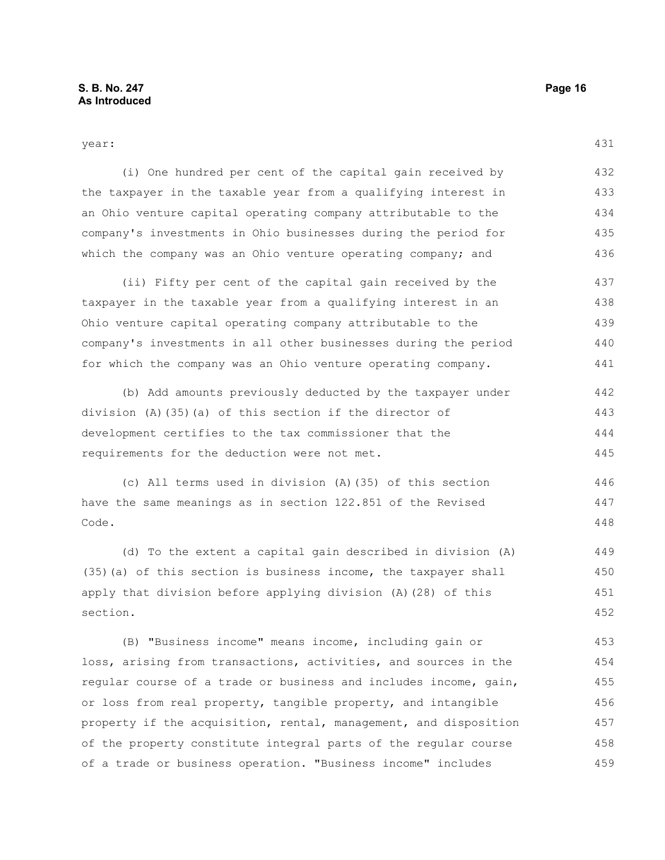| . .<br>×<br>×<br>۰, |  |
|---------------------|--|
|                     |  |

(i) One hundred per cent of the capital gain received by the taxpayer in the taxable year from a qualifying interest in an Ohio venture capital operating company attributable to the company's investments in Ohio businesses during the period for which the company was an Ohio venture operating company; and 432 433 434 435 436

(ii) Fifty per cent of the capital gain received by the taxpayer in the taxable year from a qualifying interest in an Ohio venture capital operating company attributable to the company's investments in all other businesses during the period for which the company was an Ohio venture operating company. 437 438 439 440 441

(b) Add amounts previously deducted by the taxpayer under division (A)(35)(a) of this section if the director of development certifies to the tax commissioner that the requirements for the deduction were not met. 442 443 444 445

(c) All terms used in division (A)(35) of this section have the same meanings as in section 122.851 of the Revised Code. 446 447 448

(d) To the extent a capital gain described in division (A) (35)(a) of this section is business income, the taxpayer shall apply that division before applying division (A)(28) of this section. 449 450 451 452

(B) "Business income" means income, including gain or loss, arising from transactions, activities, and sources in the regular course of a trade or business and includes income, gain, or loss from real property, tangible property, and intangible property if the acquisition, rental, management, and disposition of the property constitute integral parts of the regular course of a trade or business operation. "Business income" includes 453 454 455 456 457 458 459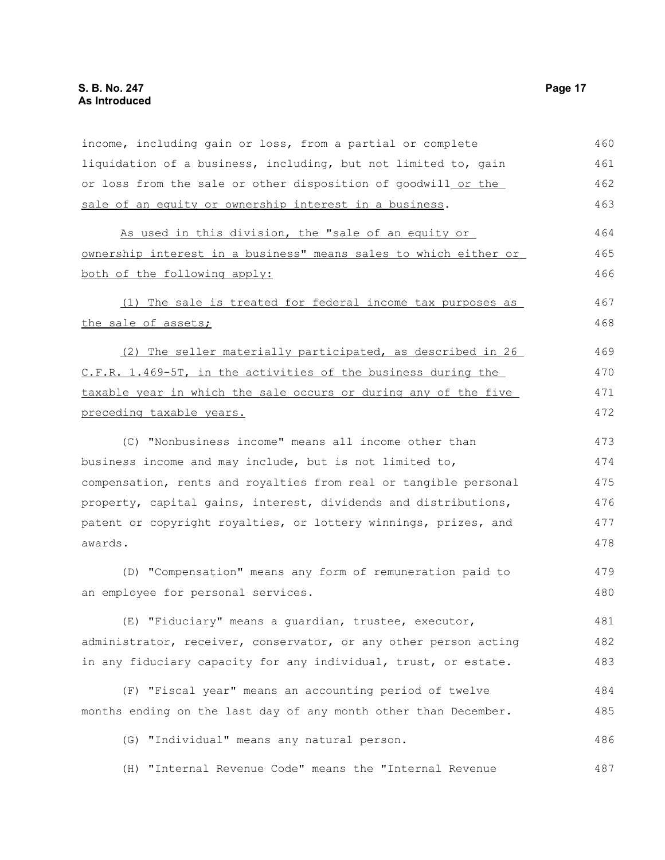| income, including gain or loss, from a partial or complete       | 460 |
|------------------------------------------------------------------|-----|
| liquidation of a business, including, but not limited to, gain   | 461 |
| or loss from the sale or other disposition of goodwill_or the_   | 462 |
| sale of an equity or ownership interest in a business.           | 463 |
| As used in this division, the "sale of an equity or              | 464 |
| ownership interest in a business" means sales to which either or | 465 |
| both of the following apply:                                     | 466 |
| (1) The sale is treated for federal income tax purposes as       | 467 |
| the sale of assets;                                              | 468 |
| (2) The seller materially participated, as described in 26       | 469 |
| C.F.R. 1.469-5T, in the activities of the business during the    | 470 |
| taxable year in which the sale occurs or during any of the five  | 471 |
| preceding taxable years.                                         | 472 |
| (C) "Nonbusiness income" means all income other than             | 473 |
| business income and may include, but is not limited to,          | 474 |
| compensation, rents and royalties from real or tangible personal | 475 |
| property, capital gains, interest, dividends and distributions,  | 476 |
| patent or copyright royalties, or lottery winnings, prizes, and  | 477 |
| awards.                                                          | 478 |
| (D) "Compensation" means any form of remuneration paid to        | 479 |
| an employee for personal services.                               | 480 |
| (E) "Fiduciary" means a quardian, trustee, executor,             | 481 |
| administrator, receiver, conservator, or any other person acting | 482 |
| in any fiduciary capacity for any individual, trust, or estate.  | 483 |
| (F) "Fiscal year" means an accounting period of twelve           | 484 |
| months ending on the last day of any month other than December.  | 485 |
| (G) "Individual" means any natural person.                       | 486 |
| (H) "Internal Revenue Code" means the "Internal Revenue          | 487 |
|                                                                  |     |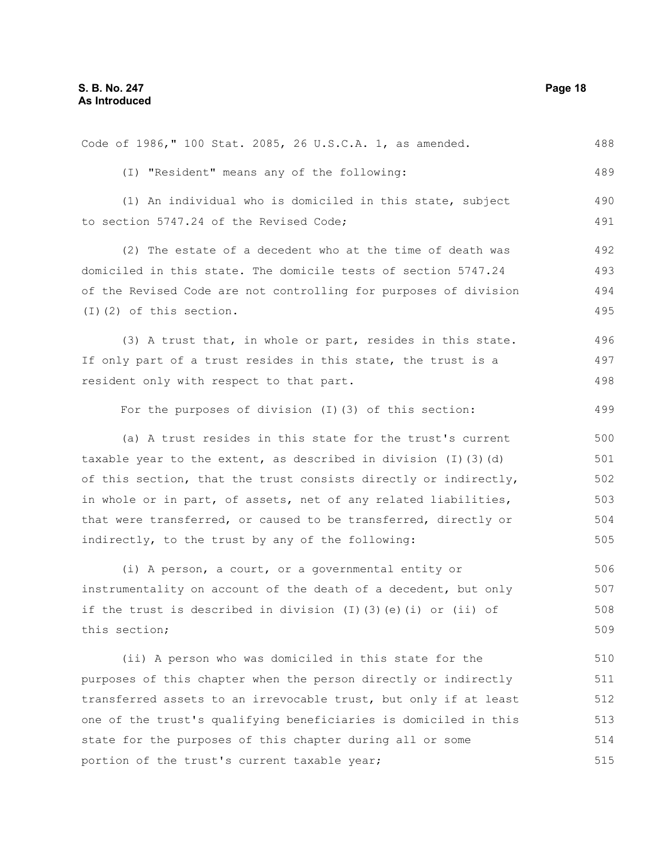| Code of 1986," 100 Stat. 2085, 26 U.S.C.A. 1, as amended.                  | 488 |
|----------------------------------------------------------------------------|-----|
| (I) "Resident" means any of the following:                                 | 489 |
| (1) An individual who is domiciled in this state, subject                  | 490 |
| to section 5747.24 of the Revised Code;                                    | 491 |
| (2) The estate of a decedent who at the time of death was                  | 492 |
| domiciled in this state. The domicile tests of section 5747.24             | 493 |
| of the Revised Code are not controlling for purposes of division           | 494 |
| $(I)$ $(2)$ of this section.                                               | 495 |
| (3) A trust that, in whole or part, resides in this state.                 | 496 |
| If only part of a trust resides in this state, the trust is a              | 497 |
| resident only with respect to that part.                                   | 498 |
| For the purposes of division (I) (3) of this section:                      | 499 |
| (a) A trust resides in this state for the trust's current                  | 500 |
| taxable year to the extent, as described in division $(I)$ $(3)$ $(d)$     | 501 |
| of this section, that the trust consists directly or indirectly,           | 502 |
| in whole or in part, of assets, net of any related liabilities,            | 503 |
| that were transferred, or caused to be transferred, directly or            | 504 |
| indirectly, to the trust by any of the following:                          | 505 |
| (i) A person, a court, or a governmental entity or                         | 506 |
| instrumentality on account of the death of a decedent, but only            | 507 |
| if the trust is described in division $(I)$ $(3)$ $(e)$ $(i)$ or $(ii)$ of | 508 |
| this section;                                                              | 509 |
| (ii) A person who was domiciled in this state for the                      | 510 |
| purposes of this chapter when the person directly or indirectly            | 511 |
| transferred assets to an irrevocable trust, but only if at least           |     |
| one of the trust's qualifying beneficiaries is domiciled in this           | 513 |
| state for the purposes of this chapter during all or some                  | 514 |
| portion of the trust's current taxable year;                               |     |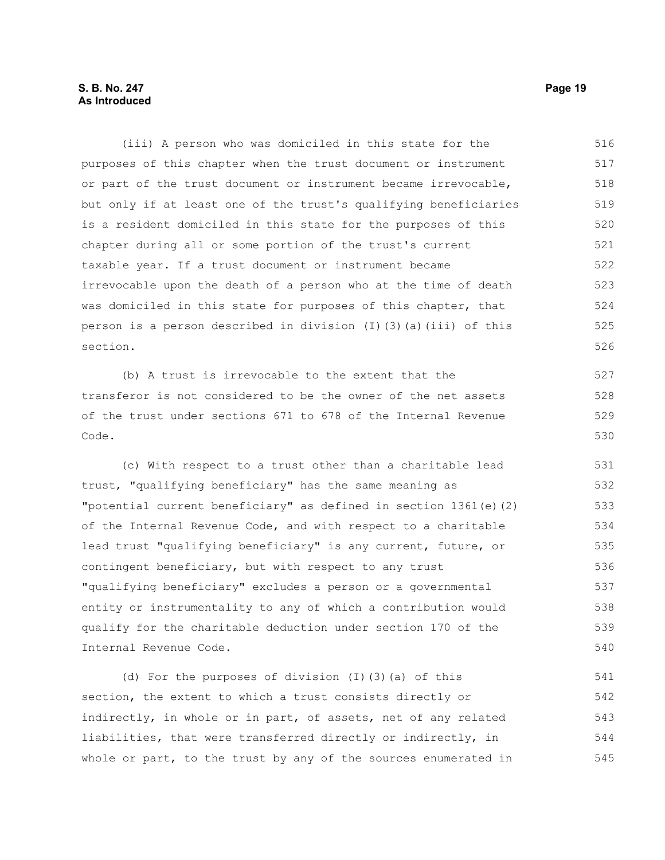#### **S. B. No. 247 Page 19 As Introduced**

(iii) A person who was domiciled in this state for the purposes of this chapter when the trust document or instrument or part of the trust document or instrument became irrevocable, but only if at least one of the trust's qualifying beneficiaries is a resident domiciled in this state for the purposes of this chapter during all or some portion of the trust's current taxable year. If a trust document or instrument became irrevocable upon the death of a person who at the time of death was domiciled in this state for purposes of this chapter, that person is a person described in division (I)(3)(a)(iii) of this section. 516 517 518 519 520 521 522 523 524 525 526

(b) A trust is irrevocable to the extent that the transferor is not considered to be the owner of the net assets of the trust under sections 671 to 678 of the Internal Revenue Code.

(c) With respect to a trust other than a charitable lead trust, "qualifying beneficiary" has the same meaning as "potential current beneficiary" as defined in section 1361(e)(2) of the Internal Revenue Code, and with respect to a charitable lead trust "qualifying beneficiary" is any current, future, or contingent beneficiary, but with respect to any trust "qualifying beneficiary" excludes a person or a governmental entity or instrumentality to any of which a contribution would qualify for the charitable deduction under section 170 of the Internal Revenue Code. 531 532 533 534 535 536 537 538 539 540

(d) For the purposes of division (I)(3)(a) of this section, the extent to which a trust consists directly or indirectly, in whole or in part, of assets, net of any related liabilities, that were transferred directly or indirectly, in whole or part, to the trust by any of the sources enumerated in 541 542 543 544 545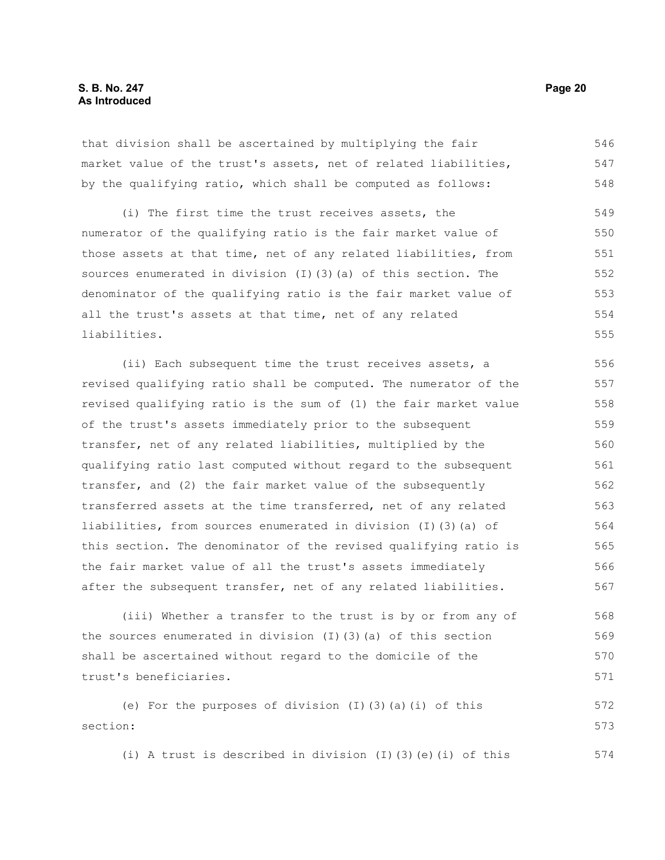that division shall be ascertained by multiplying the fair market value of the trust's assets, net of related liabilities, by the qualifying ratio, which shall be computed as follows: 546 547 548

(i) The first time the trust receives assets, the numerator of the qualifying ratio is the fair market value of those assets at that time, net of any related liabilities, from sources enumerated in division (I)(3)(a) of this section. The denominator of the qualifying ratio is the fair market value of all the trust's assets at that time, net of any related liabilities. 549 550 551 552 553 554 555

(ii) Each subsequent time the trust receives assets, a revised qualifying ratio shall be computed. The numerator of the revised qualifying ratio is the sum of (1) the fair market value of the trust's assets immediately prior to the subsequent transfer, net of any related liabilities, multiplied by the qualifying ratio last computed without regard to the subsequent transfer, and (2) the fair market value of the subsequently transferred assets at the time transferred, net of any related liabilities, from sources enumerated in division (I)(3)(a) of this section. The denominator of the revised qualifying ratio is the fair market value of all the trust's assets immediately after the subsequent transfer, net of any related liabilities. 556 557 558 559 560 561 562 563 564 565 566 567

(iii) Whether a transfer to the trust is by or from any of the sources enumerated in division (I)(3)(a) of this section shall be ascertained without regard to the domicile of the trust's beneficiaries. 568 569 570 571

(e) For the purposes of division (I)(3)(a)(i) of this section: 572 573

(i) A trust is described in division (I)(3)(e)(i) of this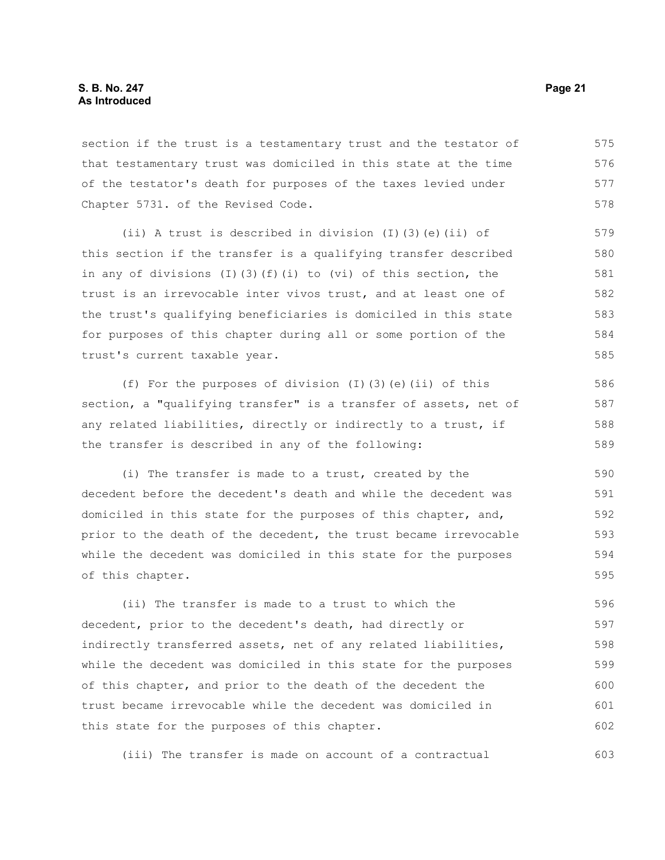section if the trust is a testamentary trust and the testator of that testamentary trust was domiciled in this state at the time of the testator's death for purposes of the taxes levied under Chapter 5731. of the Revised Code. 575 576 577 578

(ii) A trust is described in division (I)(3)(e)(ii) of this section if the transfer is a qualifying transfer described in any of divisions (I)(3)(f)(i) to (vi) of this section, the trust is an irrevocable inter vivos trust, and at least one of the trust's qualifying beneficiaries is domiciled in this state for purposes of this chapter during all or some portion of the trust's current taxable year.

(f) For the purposes of division  $(I)(3)(e)(ii)$  of this section, a "qualifying transfer" is a transfer of assets, net of any related liabilities, directly or indirectly to a trust, if the transfer is described in any of the following:

(i) The transfer is made to a trust, created by the decedent before the decedent's death and while the decedent was domiciled in this state for the purposes of this chapter, and, prior to the death of the decedent, the trust became irrevocable while the decedent was domiciled in this state for the purposes of this chapter. 590 591 592 593 594 595

(ii) The transfer is made to a trust to which the decedent, prior to the decedent's death, had directly or indirectly transferred assets, net of any related liabilities, while the decedent was domiciled in this state for the purposes of this chapter, and prior to the death of the decedent the trust became irrevocable while the decedent was domiciled in this state for the purposes of this chapter. 596 597 598 599 600 601 602

(iii) The transfer is made on account of a contractual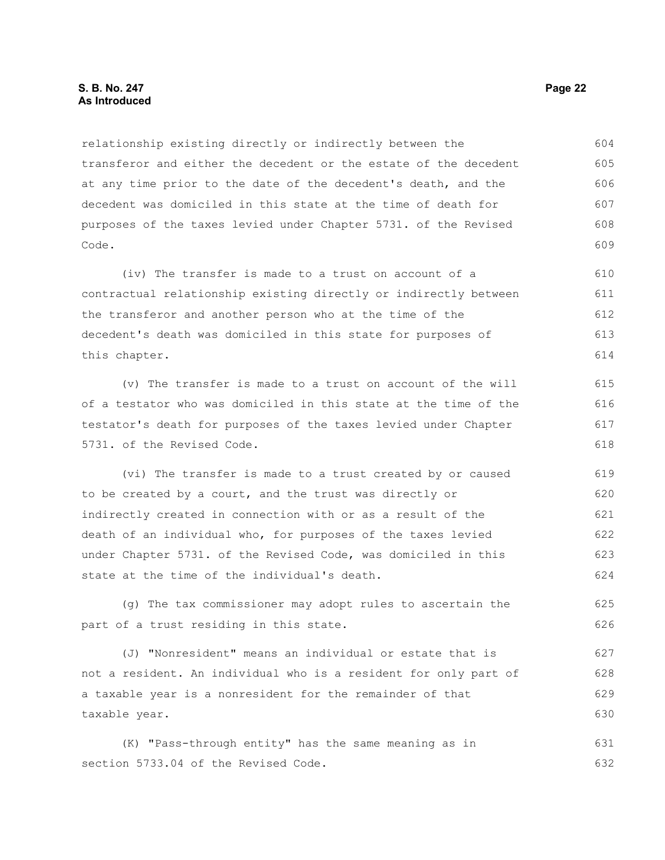relationship existing directly or indirectly between the transferor and either the decedent or the estate of the decedent at any time prior to the date of the decedent's death, and the decedent was domiciled in this state at the time of death for purposes of the taxes levied under Chapter 5731. of the Revised Code. 604 605 606 607 608 609

(iv) The transfer is made to a trust on account of a contractual relationship existing directly or indirectly between the transferor and another person who at the time of the decedent's death was domiciled in this state for purposes of this chapter. 610 611 612 613 614

(v) The transfer is made to a trust on account of the will of a testator who was domiciled in this state at the time of the testator's death for purposes of the taxes levied under Chapter 5731. of the Revised Code.

(vi) The transfer is made to a trust created by or caused to be created by a court, and the trust was directly or indirectly created in connection with or as a result of the death of an individual who, for purposes of the taxes levied under Chapter 5731. of the Revised Code, was domiciled in this state at the time of the individual's death. 619 620 621 622 623 624

(g) The tax commissioner may adopt rules to ascertain the part of a trust residing in this state.

(J) "Nonresident" means an individual or estate that is not a resident. An individual who is a resident for only part of a taxable year is a nonresident for the remainder of that taxable year. 627 628 629 630

(K) "Pass-through entity" has the same meaning as in section 5733.04 of the Revised Code. 631 632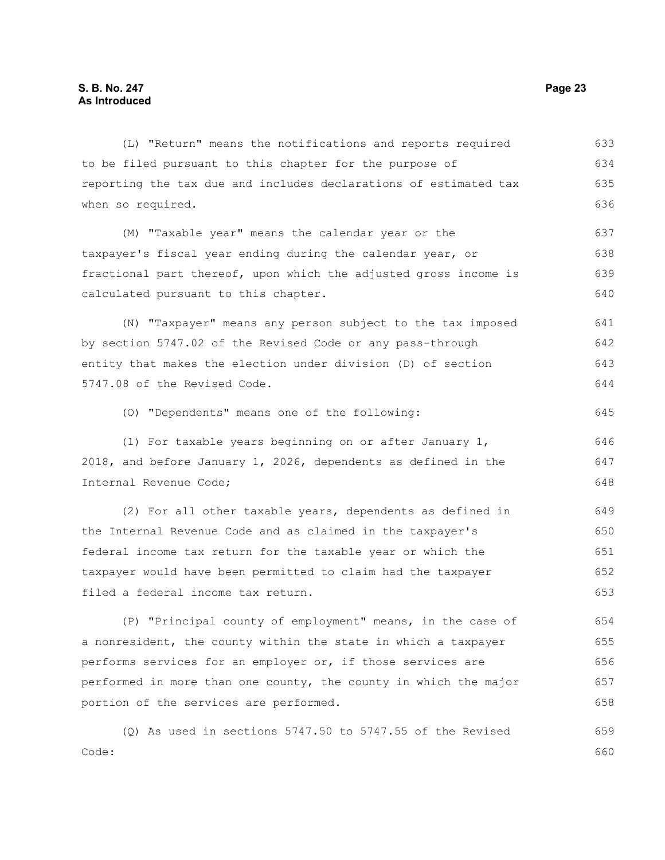Code:

(L) "Return" means the notifications and reports required to be filed pursuant to this chapter for the purpose of reporting the tax due and includes declarations of estimated tax when so required. (M) "Taxable year" means the calendar year or the taxpayer's fiscal year ending during the calendar year, or fractional part thereof, upon which the adjusted gross income is calculated pursuant to this chapter. (N) "Taxpayer" means any person subject to the tax imposed by section 5747.02 of the Revised Code or any pass-through entity that makes the election under division (D) of section 5747.08 of the Revised Code. (O) "Dependents" means one of the following: (1) For taxable years beginning on or after January 1, 2018, and before January 1, 2026, dependents as defined in the Internal Revenue Code; (2) For all other taxable years, dependents as defined in the Internal Revenue Code and as claimed in the taxpayer's federal income tax return for the taxable year or which the taxpayer would have been permitted to claim had the taxpayer filed a federal income tax return. (P) "Principal county of employment" means, in the case of a nonresident, the county within the state in which a taxpayer performs services for an employer or, if those services are performed in more than one county, the county in which the major portion of the services are performed. (Q) As used in sections 5747.50 to 5747.55 of the Revised 633 634 635 636 637 638 639 640 641 642 643 644 645 646 647 648 649 650 651 652 653 654 655 656 657 658 659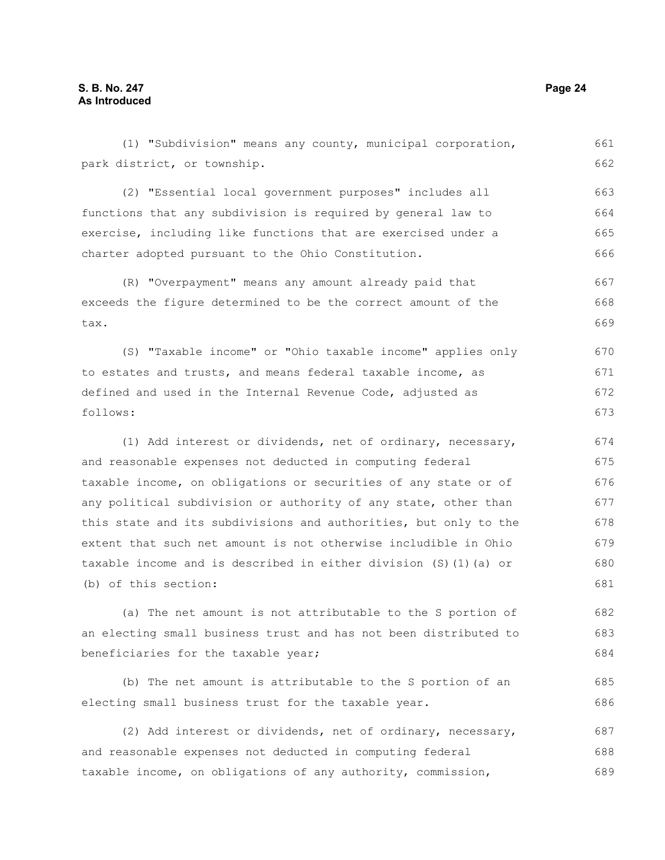(1) "Subdivision" means any county, municipal corporation, park district, or township. (2) "Essential local government purposes" includes all functions that any subdivision is required by general law to exercise, including like functions that are exercised under a charter adopted pursuant to the Ohio Constitution. (R) "Overpayment" means any amount already paid that exceeds the figure determined to be the correct amount of the tax. (S) "Taxable income" or "Ohio taxable income" applies only to estates and trusts, and means federal taxable income, as defined and used in the Internal Revenue Code, adjusted as follows: (1) Add interest or dividends, net of ordinary, necessary, and reasonable expenses not deducted in computing federal taxable income, on obligations or securities of any state or of any political subdivision or authority of any state, other than this state and its subdivisions and authorities, but only to the extent that such net amount is not otherwise includible in Ohio taxable income and is described in either division (S)(1)(a) or (b) of this section: (a) The net amount is not attributable to the S portion of an electing small business trust and has not been distributed to beneficiaries for the taxable year; (b) The net amount is attributable to the S portion of an electing small business trust for the taxable year. 661 662 663 664 665 666 667 668 669 670 671 672 673 674 675 676 677 678 679 680 681 682 683 684 685 686

(2) Add interest or dividends, net of ordinary, necessary, and reasonable expenses not deducted in computing federal taxable income, on obligations of any authority, commission, 687 688 689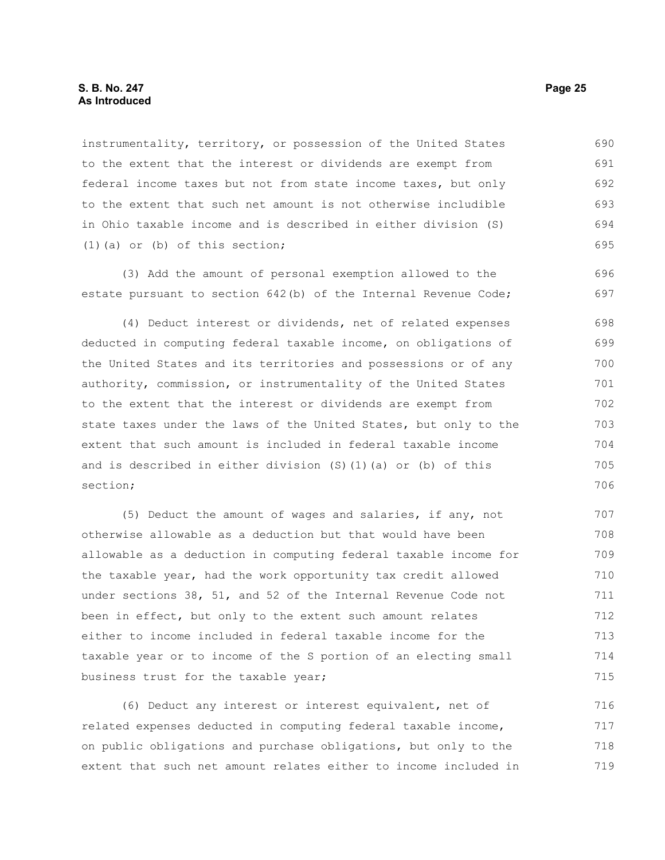instrumentality, territory, or possession of the United States to the extent that the interest or dividends are exempt from federal income taxes but not from state income taxes, but only to the extent that such net amount is not otherwise includible in Ohio taxable income and is described in either division (S) (1)(a) or (b) of this section; 690 691 692 693 694 695

(3) Add the amount of personal exemption allowed to the estate pursuant to section 642(b) of the Internal Revenue Code; 696 697

(4) Deduct interest or dividends, net of related expenses deducted in computing federal taxable income, on obligations of the United States and its territories and possessions or of any authority, commission, or instrumentality of the United States to the extent that the interest or dividends are exempt from state taxes under the laws of the United States, but only to the extent that such amount is included in federal taxable income and is described in either division (S)(1)(a) or (b) of this section; 698 699 700 701 702 703 704 705 706

(5) Deduct the amount of wages and salaries, if any, not otherwise allowable as a deduction but that would have been allowable as a deduction in computing federal taxable income for the taxable year, had the work opportunity tax credit allowed under sections 38, 51, and 52 of the Internal Revenue Code not been in effect, but only to the extent such amount relates either to income included in federal taxable income for the taxable year or to income of the S portion of an electing small business trust for the taxable year; 707 708 709 710 711 712 713 714 715

(6) Deduct any interest or interest equivalent, net of related expenses deducted in computing federal taxable income, on public obligations and purchase obligations, but only to the extent that such net amount relates either to income included in 716 717 718 719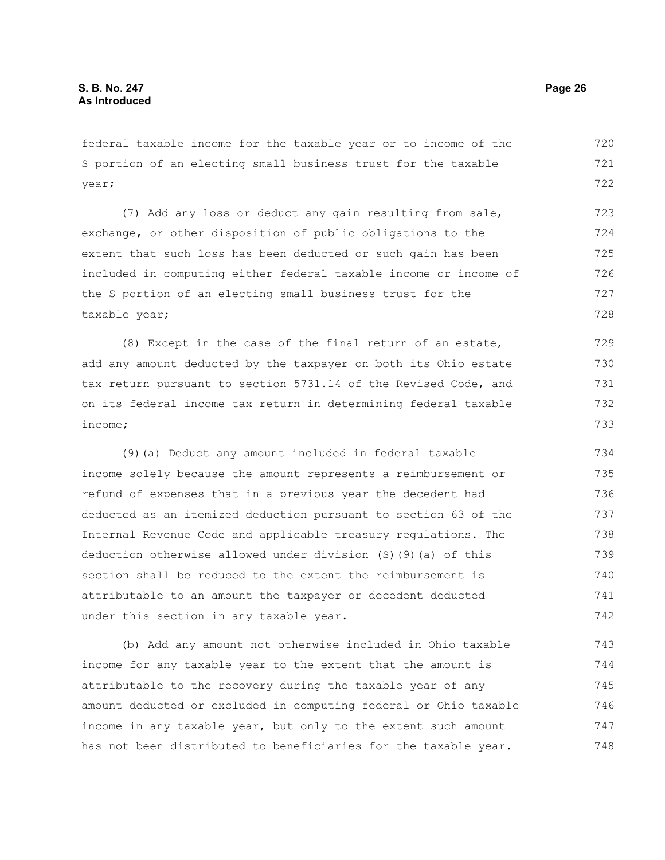federal taxable income for the taxable year or to income of the S portion of an electing small business trust for the taxable year; 720 721 722

(7) Add any loss or deduct any gain resulting from sale, exchange, or other disposition of public obligations to the extent that such loss has been deducted or such gain has been included in computing either federal taxable income or income of the S portion of an electing small business trust for the taxable year; 723 724 725 726 727 728

(8) Except in the case of the final return of an estate, add any amount deducted by the taxpayer on both its Ohio estate tax return pursuant to section 5731.14 of the Revised Code, and on its federal income tax return in determining federal taxable income; 729 730 731 732 733

(9)(a) Deduct any amount included in federal taxable income solely because the amount represents a reimbursement or refund of expenses that in a previous year the decedent had deducted as an itemized deduction pursuant to section 63 of the Internal Revenue Code and applicable treasury regulations. The deduction otherwise allowed under division (S)(9)(a) of this section shall be reduced to the extent the reimbursement is attributable to an amount the taxpayer or decedent deducted under this section in any taxable year. 734 735 736 737 738 739 740 741 742

(b) Add any amount not otherwise included in Ohio taxable income for any taxable year to the extent that the amount is attributable to the recovery during the taxable year of any amount deducted or excluded in computing federal or Ohio taxable income in any taxable year, but only to the extent such amount has not been distributed to beneficiaries for the taxable year. 743 744 745 746 747 748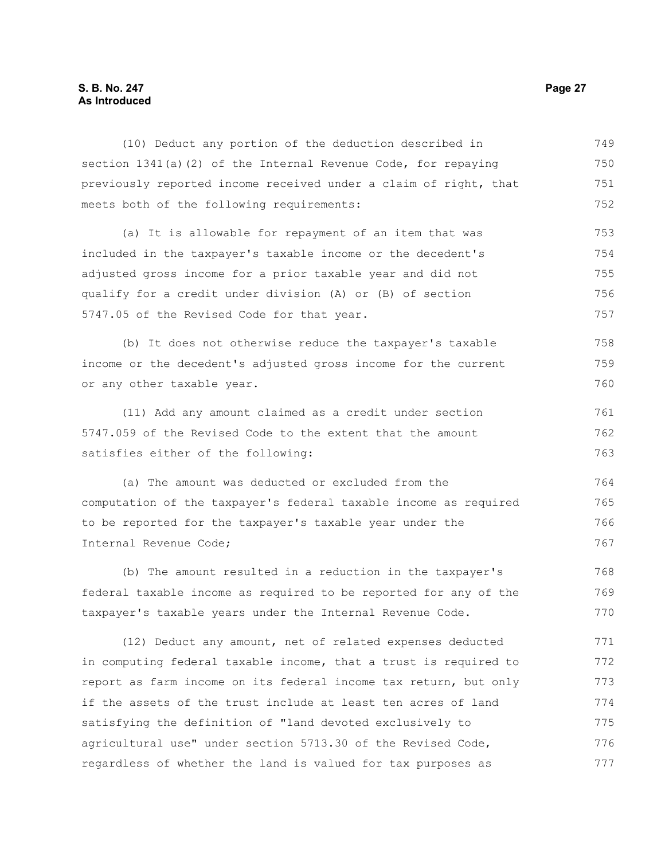#### **S. B. No. 247 Page 27 As Introduced**

(10) Deduct any portion of the deduction described in section 1341(a)(2) of the Internal Revenue Code, for repaying previously reported income received under a claim of right, that meets both of the following requirements: (a) It is allowable for repayment of an item that was included in the taxpayer's taxable income or the decedent's adjusted gross income for a prior taxable year and did not qualify for a credit under division (A) or (B) of section 5747.05 of the Revised Code for that year. (b) It does not otherwise reduce the taxpayer's taxable income or the decedent's adjusted gross income for the current or any other taxable year. (11) Add any amount claimed as a credit under section 5747.059 of the Revised Code to the extent that the amount satisfies either of the following: (a) The amount was deducted or excluded from the computation of the taxpayer's federal taxable income as required to be reported for the taxpayer's taxable year under the Internal Revenue Code; (b) The amount resulted in a reduction in the taxpayer's federal taxable income as required to be reported for any of the taxpayer's taxable years under the Internal Revenue Code. 750 751 752 753 754 755 756 757 758 759 760 761 762 763 764 765 766 767 768 769 770

(12) Deduct any amount, net of related expenses deducted in computing federal taxable income, that a trust is required to report as farm income on its federal income tax return, but only if the assets of the trust include at least ten acres of land satisfying the definition of "land devoted exclusively to agricultural use" under section 5713.30 of the Revised Code, regardless of whether the land is valued for tax purposes as 771 772 773 774 775 776 777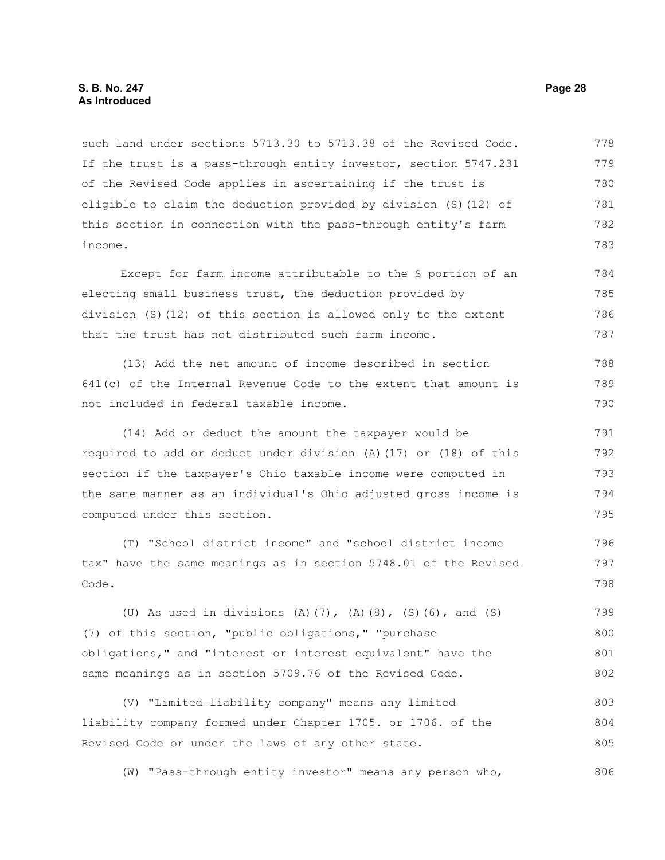such land under sections 5713.30 to 5713.38 of the Revised Code. If the trust is a pass-through entity investor, section 5747.231 of the Revised Code applies in ascertaining if the trust is eligible to claim the deduction provided by division (S)(12) of this section in connection with the pass-through entity's farm income. 778 779 780 781 782 783

Except for farm income attributable to the S portion of an electing small business trust, the deduction provided by division (S)(12) of this section is allowed only to the extent that the trust has not distributed such farm income. 784 785 786 787

(13) Add the net amount of income described in section 641(c) of the Internal Revenue Code to the extent that amount is not included in federal taxable income. 788 789 790

(14) Add or deduct the amount the taxpayer would be required to add or deduct under division (A)(17) or (18) of this section if the taxpayer's Ohio taxable income were computed in the same manner as an individual's Ohio adjusted gross income is computed under this section. 791 792 793 794 795

(T) "School district income" and "school district income tax" have the same meanings as in section 5748.01 of the Revised Code.

(U) As used in divisions (A)(7), (A)(8), (S)(6), and (S) (7) of this section, "public obligations," "purchase obligations," and "interest or interest equivalent" have the same meanings as in section 5709.76 of the Revised Code. 799 800 801 802

(V) "Limited liability company" means any limited liability company formed under Chapter 1705. or 1706. of the Revised Code or under the laws of any other state. 803 804 805

(W) "Pass-through entity investor" means any person who, 806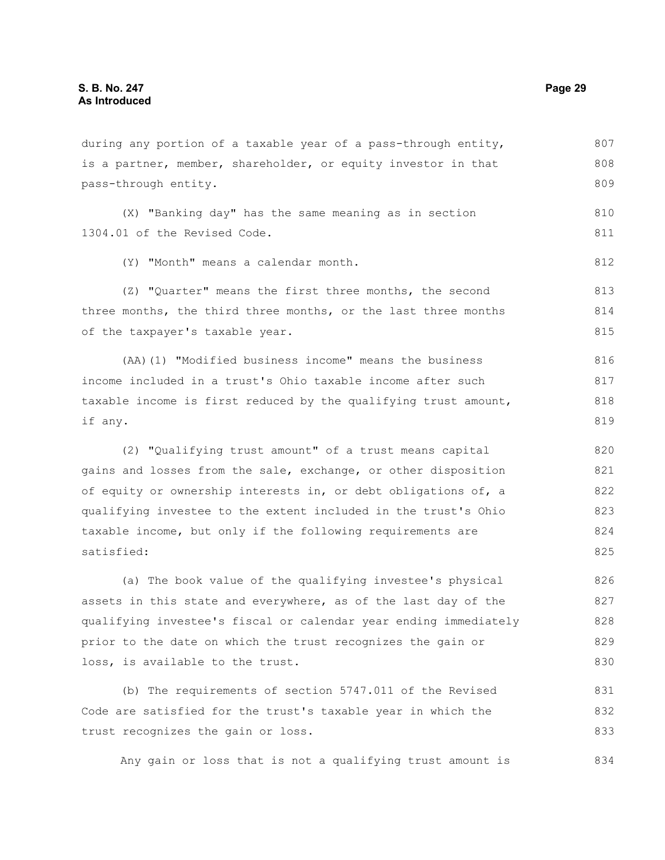during any portion of a taxable year of a pass-through entity, is a partner, member, shareholder, or equity investor in that pass-through entity. (X) "Banking day" has the same meaning as in section 1304.01 of the Revised Code. (Y) "Month" means a calendar month. (Z) "Quarter" means the first three months, the second three months, the third three months, or the last three months of the taxpayer's taxable year. (AA)(1) "Modified business income" means the business income included in a trust's Ohio taxable income after such taxable income is first reduced by the qualifying trust amount, if any. (2) "Qualifying trust amount" of a trust means capital gains and losses from the sale, exchange, or other disposition of equity or ownership interests in, or debt obligations of, a qualifying investee to the extent included in the trust's Ohio taxable income, but only if the following requirements are satisfied: (a) The book value of the qualifying investee's physical assets in this state and everywhere, as of the last day of the qualifying investee's fiscal or calendar year ending immediately prior to the date on which the trust recognizes the gain or loss, is available to the trust. 807 808 809 810 811 812 813 814 815 816 817 818 819 820 821 822 823 824 825 826 827 828 829 830

(b) The requirements of section 5747.011 of the Revised Code are satisfied for the trust's taxable year in which the trust recognizes the gain or loss. 831 832 833

Any gain or loss that is not a qualifying trust amount is 834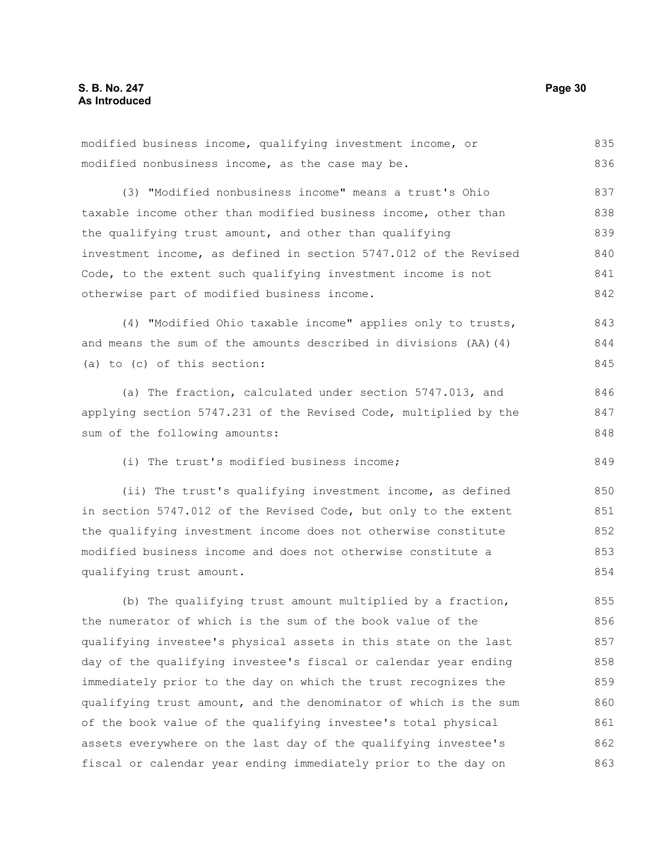modified business income, qualifying investment income, or modified nonbusiness income, as the case may be. (3) "Modified nonbusiness income" means a trust's Ohio taxable income other than modified business income, other than the qualifying trust amount, and other than qualifying investment income, as defined in section 5747.012 of the Revised Code, to the extent such qualifying investment income is not otherwise part of modified business income. (4) "Modified Ohio taxable income" applies only to trusts, and means the sum of the amounts described in divisions (AA)(4) (a) to (c) of this section: (a) The fraction, calculated under section 5747.013, and applying section 5747.231 of the Revised Code, multiplied by the sum of the following amounts: (i) The trust's modified business income; (ii) The trust's qualifying investment income, as defined in section 5747.012 of the Revised Code, but only to the extent the qualifying investment income does not otherwise constitute modified business income and does not otherwise constitute a qualifying trust amount. (b) The qualifying trust amount multiplied by a fraction, the numerator of which is the sum of the book value of the qualifying investee's physical assets in this state on the last day of the qualifying investee's fiscal or calendar year ending 835 836 837 838 839 840 841 842 843 844 845 846 847 848 849 850 851 852 853 854 855 856 857 858

qualifying trust amount, and the denominator of which is the sum of the book value of the qualifying investee's total physical assets everywhere on the last day of the qualifying investee's fiscal or calendar year ending immediately prior to the day on 860 861 862 863

immediately prior to the day on which the trust recognizes the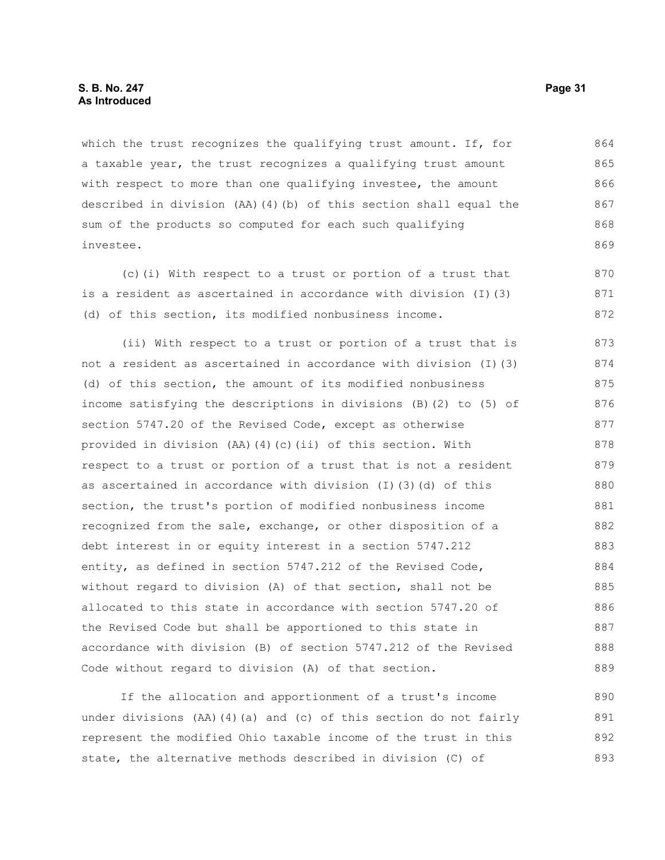which the trust recognizes the qualifying trust amount. If, for a taxable year, the trust recognizes a qualifying trust amount with respect to more than one qualifying investee, the amount described in division (AA)(4)(b) of this section shall equal the sum of the products so computed for each such qualifying investee. 864 865 866 867 868 869

(c)(i) With respect to a trust or portion of a trust that is a resident as ascertained in accordance with division (I)(3) (d) of this section, its modified nonbusiness income.

(ii) With respect to a trust or portion of a trust that is not a resident as ascertained in accordance with division (I)(3) (d) of this section, the amount of its modified nonbusiness income satisfying the descriptions in divisions (B)(2) to (5) of section 5747.20 of the Revised Code, except as otherwise provided in division (AA)(4)(c)(ii) of this section. With respect to a trust or portion of a trust that is not a resident as ascertained in accordance with division (I)(3)(d) of this section, the trust's portion of modified nonbusiness income recognized from the sale, exchange, or other disposition of a debt interest in or equity interest in a section 5747.212 entity, as defined in section 5747.212 of the Revised Code, without regard to division (A) of that section, shall not be allocated to this state in accordance with section 5747.20 of the Revised Code but shall be apportioned to this state in accordance with division (B) of section 5747.212 of the Revised Code without regard to division (A) of that section. 873 874 875 876 877 878 879 880 881 882 883 884 885 886 887 888 889

If the allocation and apportionment of a trust's income under divisions (AA)(4)(a) and (c) of this section do not fairly represent the modified Ohio taxable income of the trust in this state, the alternative methods described in division (C) of 890 891 892 893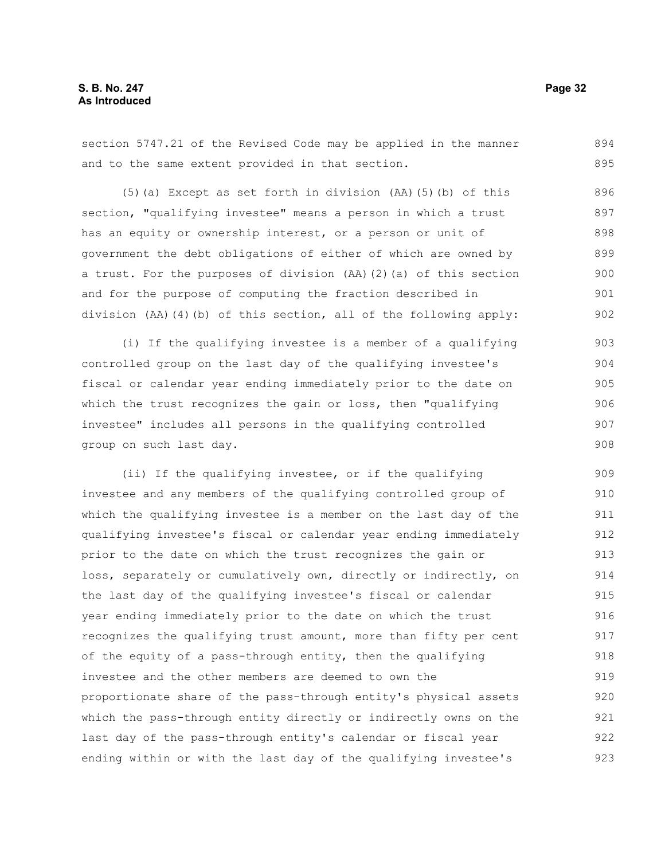section 5747.21 of the Revised Code may be applied in the manner and to the same extent provided in that section. 894 895

(5)(a) Except as set forth in division (AA)(5)(b) of this section, "qualifying investee" means a person in which a trust has an equity or ownership interest, or a person or unit of government the debt obligations of either of which are owned by a trust. For the purposes of division (AA)(2)(a) of this section and for the purpose of computing the fraction described in division (AA)(4)(b) of this section, all of the following apply: 896 897 898 899 900 901 902

(i) If the qualifying investee is a member of a qualifying controlled group on the last day of the qualifying investee's fiscal or calendar year ending immediately prior to the date on which the trust recognizes the gain or loss, then "qualifying investee" includes all persons in the qualifying controlled group on such last day. 903 904 905 906 907 908

(ii) If the qualifying investee, or if the qualifying investee and any members of the qualifying controlled group of which the qualifying investee is a member on the last day of the qualifying investee's fiscal or calendar year ending immediately prior to the date on which the trust recognizes the gain or loss, separately or cumulatively own, directly or indirectly, on the last day of the qualifying investee's fiscal or calendar year ending immediately prior to the date on which the trust recognizes the qualifying trust amount, more than fifty per cent of the equity of a pass-through entity, then the qualifying investee and the other members are deemed to own the proportionate share of the pass-through entity's physical assets which the pass-through entity directly or indirectly owns on the last day of the pass-through entity's calendar or fiscal year ending within or with the last day of the qualifying investee's 909 910 911 912 913 914 915 916 917 918 919 920 921 922 923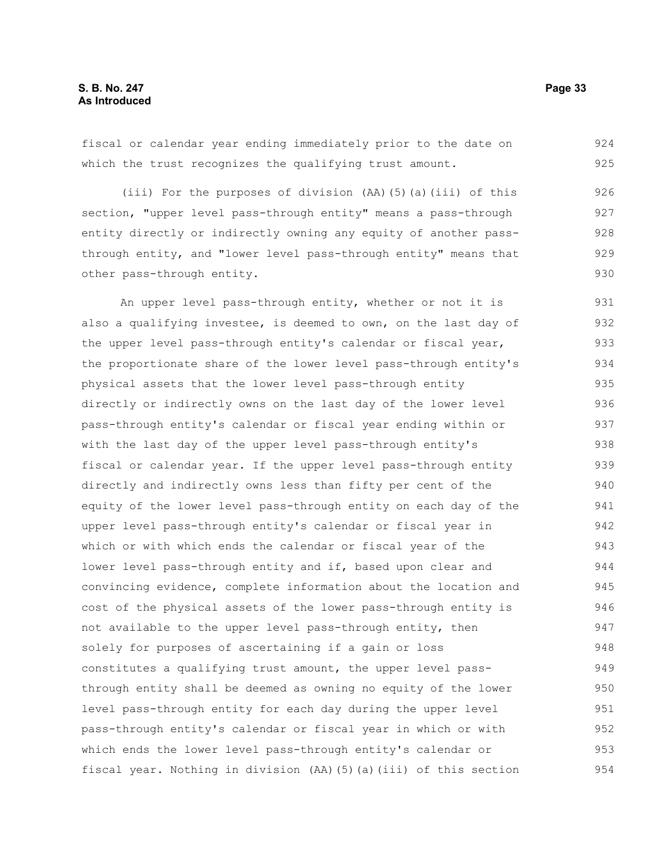fiscal or calendar year ending immediately prior to the date on which the trust recognizes the qualifying trust amount. 924 925

(iii) For the purposes of division (AA)(5)(a)(iii) of this section, "upper level pass-through entity" means a pass-through entity directly or indirectly owning any equity of another passthrough entity, and "lower level pass-through entity" means that other pass-through entity. 926 927 928 929 930

An upper level pass-through entity, whether or not it is also a qualifying investee, is deemed to own, on the last day of the upper level pass-through entity's calendar or fiscal year, the proportionate share of the lower level pass-through entity's physical assets that the lower level pass-through entity directly or indirectly owns on the last day of the lower level pass-through entity's calendar or fiscal year ending within or with the last day of the upper level pass-through entity's fiscal or calendar year. If the upper level pass-through entity directly and indirectly owns less than fifty per cent of the equity of the lower level pass-through entity on each day of the upper level pass-through entity's calendar or fiscal year in which or with which ends the calendar or fiscal year of the lower level pass-through entity and if, based upon clear and convincing evidence, complete information about the location and cost of the physical assets of the lower pass-through entity is not available to the upper level pass-through entity, then solely for purposes of ascertaining if a gain or loss constitutes a qualifying trust amount, the upper level passthrough entity shall be deemed as owning no equity of the lower level pass-through entity for each day during the upper level pass-through entity's calendar or fiscal year in which or with which ends the lower level pass-through entity's calendar or fiscal year. Nothing in division (AA)(5)(a)(iii) of this section 931 932 933 934 935 936 937 938 939 940 941 942 943 944 945 946 947 948 949 950 951 952 953 954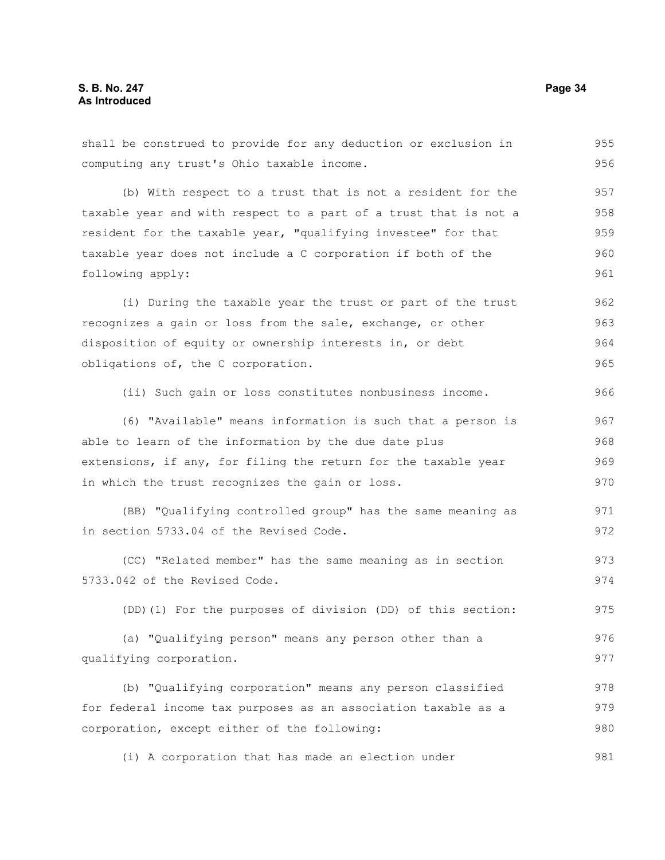shall be construed to provide for any deduction or exclusion in computing any trust's Ohio taxable income. (b) With respect to a trust that is not a resident for the taxable year and with respect to a part of a trust that is not a resident for the taxable year, "qualifying investee" for that taxable year does not include a C corporation if both of the following apply: (i) During the taxable year the trust or part of the trust recognizes a gain or loss from the sale, exchange, or other disposition of equity or ownership interests in, or debt obligations of, the C corporation. (ii) Such gain or loss constitutes nonbusiness income. (6) "Available" means information is such that a person is able to learn of the information by the due date plus extensions, if any, for filing the return for the taxable year in which the trust recognizes the gain or loss. (BB) "Qualifying controlled group" has the same meaning as in section 5733.04 of the Revised Code. (CC) "Related member" has the same meaning as in section 5733.042 of the Revised Code. (DD)(1) For the purposes of division (DD) of this section: (a) "Qualifying person" means any person other than a qualifying corporation. (b) "Qualifying corporation" means any person classified for federal income tax purposes as an association taxable as a corporation, except either of the following: 955 956 957 958 959 960 961 962 963 964 965 966 967 968 969 970 971 972 973 974 975 976 977 978 979 980

(i) A corporation that has made an election under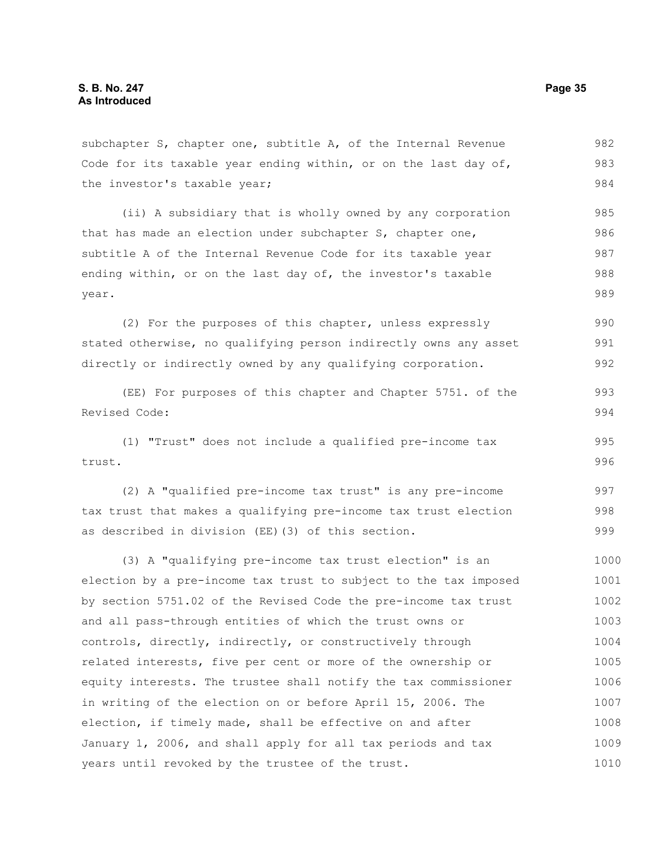subchapter S, chapter one, subtitle A, of the Internal Revenue Code for its taxable year ending within, or on the last day of, the investor's taxable year; 982 983 984

(ii) A subsidiary that is wholly owned by any corporation that has made an election under subchapter S, chapter one, subtitle A of the Internal Revenue Code for its taxable year ending within, or on the last day of, the investor's taxable year. 985 986 987 988 989

(2) For the purposes of this chapter, unless expressly stated otherwise, no qualifying person indirectly owns any asset directly or indirectly owned by any qualifying corporation. 990 991 992

(EE) For purposes of this chapter and Chapter 5751. of the Revised Code: 993 994

(1) "Trust" does not include a qualified pre-income tax trust. 995 996

(2) A "qualified pre-income tax trust" is any pre-income tax trust that makes a qualifying pre-income tax trust election as described in division (EE)(3) of this section. 997 998 999

(3) A "qualifying pre-income tax trust election" is an election by a pre-income tax trust to subject to the tax imposed by section 5751.02 of the Revised Code the pre-income tax trust and all pass-through entities of which the trust owns or controls, directly, indirectly, or constructively through related interests, five per cent or more of the ownership or equity interests. The trustee shall notify the tax commissioner in writing of the election on or before April 15, 2006. The election, if timely made, shall be effective on and after January 1, 2006, and shall apply for all tax periods and tax years until revoked by the trustee of the trust. 1000 1001 1002 1003 1004 1005 1006 1007 1008 1009 1010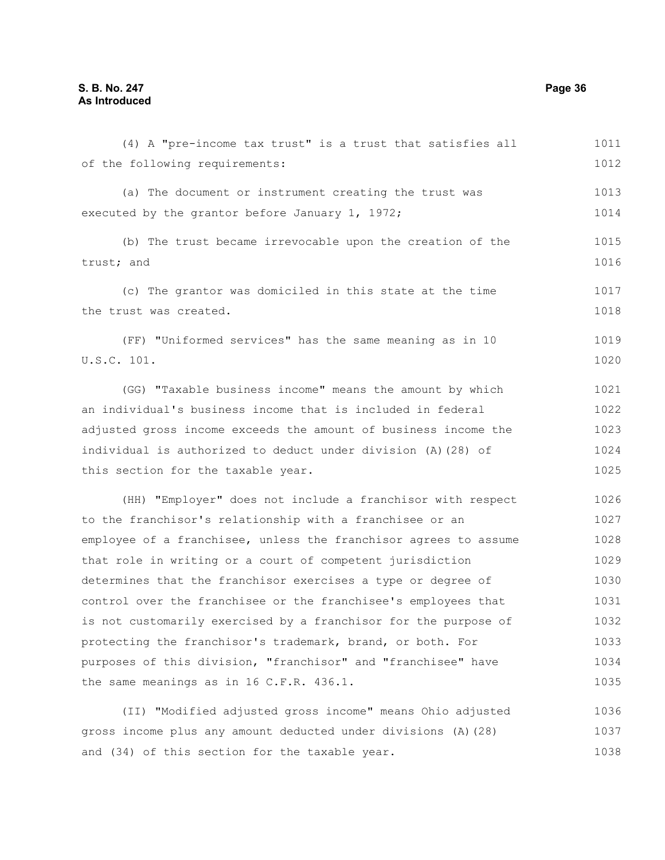| (4) A "pre-income tax trust" is a trust that satisfies all       | 1011 |
|------------------------------------------------------------------|------|
| of the following requirements:                                   | 1012 |
| (a) The document or instrument creating the trust was            | 1013 |
| executed by the grantor before January 1, 1972;                  | 1014 |
| (b) The trust became irrevocable upon the creation of the        | 1015 |
| trust; and                                                       | 1016 |
| (c) The grantor was domiciled in this state at the time          | 1017 |
| the trust was created.                                           | 1018 |
| (FF) "Uniformed services" has the same meaning as in 10          | 1019 |
| U.S.C. 101.                                                      | 1020 |
| (GG) "Taxable business income" means the amount by which         | 1021 |
| an individual's business income that is included in federal      | 1022 |
| adjusted gross income exceeds the amount of business income the  | 1023 |
| individual is authorized to deduct under division (A) (28) of    | 1024 |
| this section for the taxable year.                               | 1025 |
| (HH) "Employer" does not include a franchisor with respect       | 1026 |
| to the franchisor's relationship with a franchisee or an         | 1027 |
| employee of a franchisee, unless the franchisor agrees to assume | 1028 |
| that role in writing or a court of competent jurisdiction        | 1029 |
| determines that the franchisor exercises a type or degree of     | 1030 |
| control over the franchisee or the franchisee's employees that   | 1031 |
| is not customarily exercised by a franchisor for the purpose of  | 1032 |
| protecting the franchisor's trademark, brand, or both. For       | 1033 |
| purposes of this division, "franchisor" and "franchisee" have    | 1034 |
| the same meanings as in 16 C.F.R. 436.1.                         | 1035 |
| (II) "Modified adjusted gross income" means Ohio adjusted        | 1036 |
| gross income plus any amount deducted under divisions (A) (28)   | 1037 |
| and (34) of this section for the taxable year.                   | 1038 |